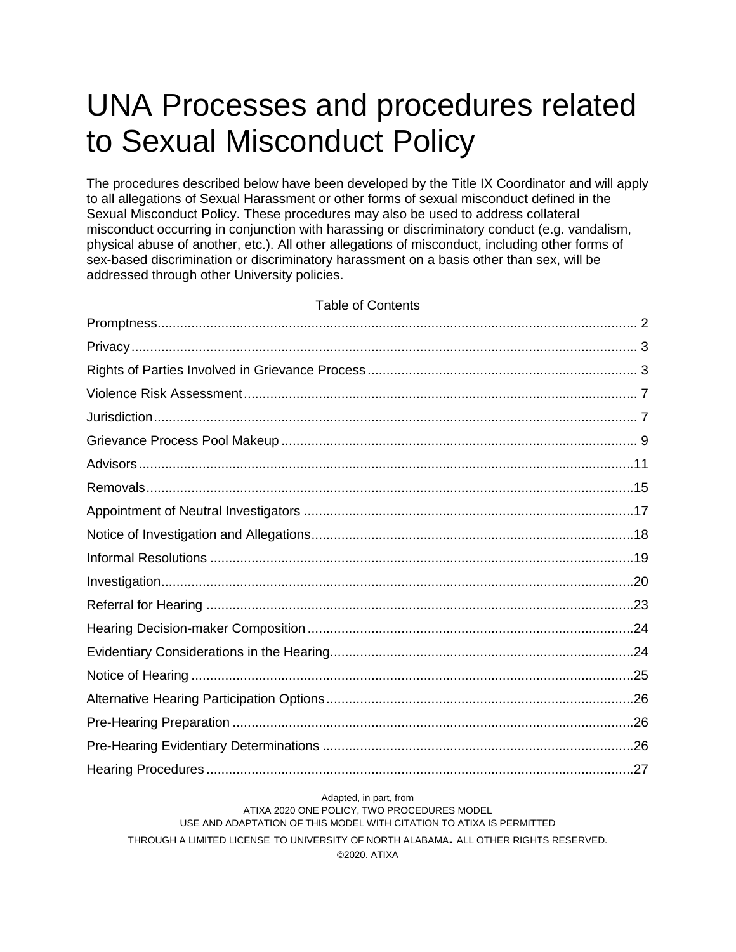# UNA Processes and procedures related to Sexual Misconduct Policy

The procedures described below have been developed by the Title IX Coordinator and will apply to all allegations of Sexual Harassment or other forms of sexual misconduct defined in the Sexual Misconduct Policy. These procedures may also be used to address collateral misconduct occurring in conjunction with harassing or discriminatory conduct (e.g. vandalism, physical abuse of another, etc.). All other allegations of misconduct, including other forms of sex-based discrimination or discriminatory harassment on a basis other than sex, will be addressed through other University policies.

#### Table of Contents

#### Adapted, in part, from ATIXA 2020 ONE POLICY, TWO PROCEDURES MODEL USE AND ADAPTATION OF THIS MODEL WITH CITATION TO ATIXA IS PERMITTED THROUGH A LIMITED LICENSE TO UNIVERSITY OF NORTH ALABAMA**.** ALL OTHER RIGHTS RESERVED. ©2020. ATIXA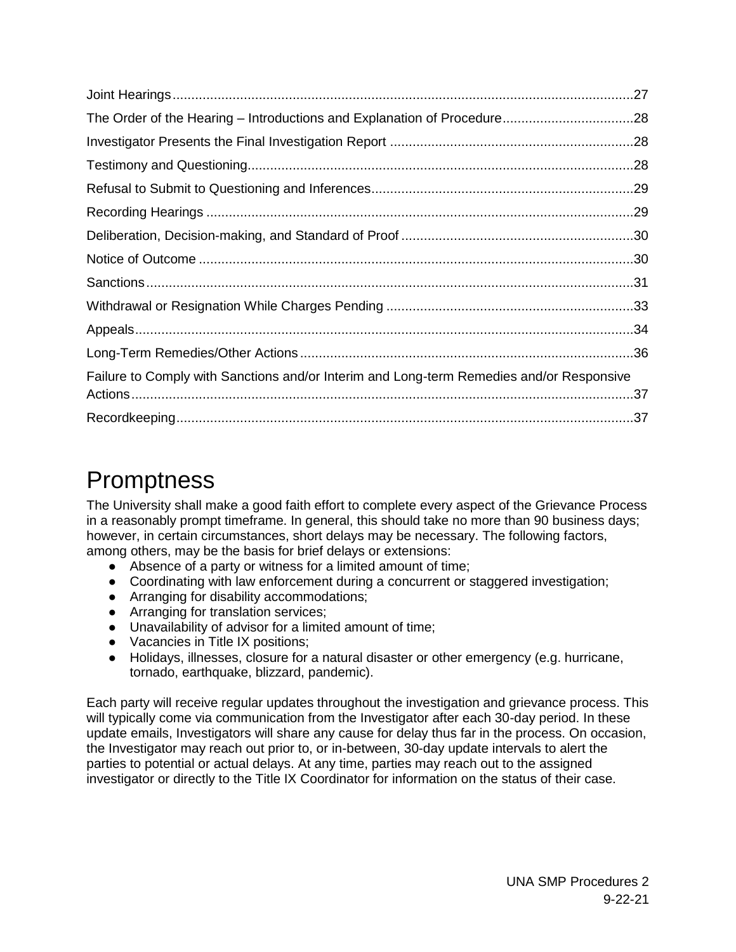| Failure to Comply with Sanctions and/or Interim and Long-term Remedies and/or Responsive |  |
|------------------------------------------------------------------------------------------|--|
|                                                                                          |  |
|                                                                                          |  |

### <span id="page-1-0"></span>**Promptness**

The University shall make a good faith effort to complete every aspect of the Grievance Process in a reasonably prompt timeframe. In general, this should take no more than 90 business days; however, in certain circumstances, short delays may be necessary. The following factors, among others, may be the basis for brief delays or extensions:

- Absence of a party or witness for a limited amount of time;
- Coordinating with law enforcement during a concurrent or staggered investigation;
- Arranging for disability accommodations;
- Arranging for translation services:
- Unavailability of advisor for a limited amount of time;
- Vacancies in Title IX positions;
- Holidays, illnesses, closure for a natural disaster or other emergency (e.g. hurricane, tornado, earthquake, blizzard, pandemic).

Each party will receive regular updates throughout the investigation and grievance process. This will typically come via communication from the Investigator after each 30-day period. In these update emails, Investigators will share any cause for delay thus far in the process. On occasion, the Investigator may reach out prior to, or in-between, 30-day update intervals to alert the parties to potential or actual delays. At any time, parties may reach out to the assigned investigator or directly to the Title IX Coordinator for information on the status of their case.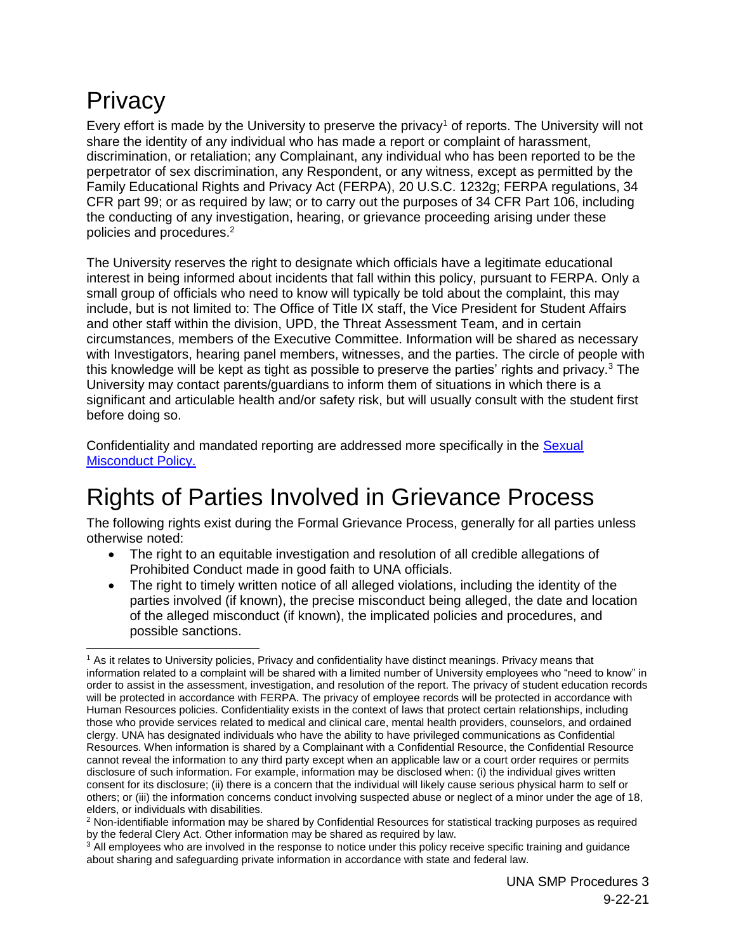## <span id="page-2-0"></span>**Privacy**

Every effort is made by the University to preserve the privacy<sup>1</sup> of reports. The University will not share the identity of any individual who has made a report or complaint of harassment, discrimination, or retaliation; any Complainant, any individual who has been reported to be the perpetrator of sex discrimination, any Respondent, or any witness, except as permitted by the Family Educational Rights and Privacy Act (FERPA), 20 U.S.C. 1232g; FERPA regulations, 34 CFR part 99; or as required by law; or to carry out the purposes of 34 CFR Part 106, including the conducting of any investigation, hearing, or grievance proceeding arising under these policies and procedures.<sup>2</sup>

The University reserves the right to designate which officials have a legitimate educational interest in being informed about incidents that fall within this policy, pursuant to FERPA. Only a small group of officials who need to know will typically be told about the complaint, this may include, but is not limited to: The Office of Title IX staff, the Vice President for Student Affairs and other staff within the division, UPD, the Threat Assessment Team, and in certain circumstances, members of the Executive Committee. Information will be shared as necessary with Investigators, hearing panel members, witnesses, and the parties. The circle of people with this knowledge will be kept as tight as possible to preserve the parties' rights and privacy. $3$  The University may contact parents/guardians to inform them of situations in which there is a significant and articulable health and/or safety risk, but will usually consult with the student first before doing so.

Confidentiality and mandated reporting are addressed more specifically in the [Sexual](https://www.una.edu/titleix/Documents/UNA%20Sexual%20Misconduct%20Policy%20Interim%20--%20Approved%207.27.2020.pdf)  [Misconduct Policy.](https://www.una.edu/titleix/Documents/UNA%20Sexual%20Misconduct%20Policy%20Interim%20--%20Approved%207.27.2020.pdf)

## <span id="page-2-1"></span>Rights of Parties Involved in Grievance Process

The following rights exist during the Formal Grievance Process, generally for all parties unless otherwise noted:

- The right to an equitable investigation and resolution of all credible allegations of Prohibited Conduct made in good faith to UNA officials.
- The right to timely written notice of all alleged violations, including the identity of the parties involved (if known), the precise misconduct being alleged, the date and location of the alleged misconduct (if known), the implicated policies and procedures, and possible sanctions.

 $\overline{a}$ <sup>1</sup> As it relates to University policies, Privacy and confidentiality have distinct meanings. Privacy means that information related to a complaint will be shared with a limited number of University employees who "need to know" in order to assist in the assessment, investigation, and resolution of the report. The privacy of student education records will be protected in accordance with FERPA. The privacy of employee records will be protected in accordance with Human Resources policies. Confidentiality exists in the context of laws that protect certain relationships, including those who provide services related to medical and clinical care, mental health providers, counselors, and ordained clergy. UNA has designated individuals who have the ability to have privileged communications as Confidential Resources. When information is shared by a Complainant with a Confidential Resource, the Confidential Resource cannot reveal the information to any third party except when an applicable law or a court order requires or permits disclosure of such information. For example, information may be disclosed when: (i) the individual gives written consent for its disclosure; (ii) there is a concern that the individual will likely cause serious physical harm to self or others; or (iii) the information concerns conduct involving suspected abuse or neglect of a minor under the age of 18, elders, or individuals with disabilities.

<sup>2</sup> Non-identifiable information may be shared by Confidential Resources for statistical tracking purposes as required by the federal Clery Act. Other information may be shared as required by law.

<sup>&</sup>lt;sup>3</sup> All employees who are involved in the response to notice under this policy receive specific training and guidance about sharing and safeguarding private information in accordance with state and federal law.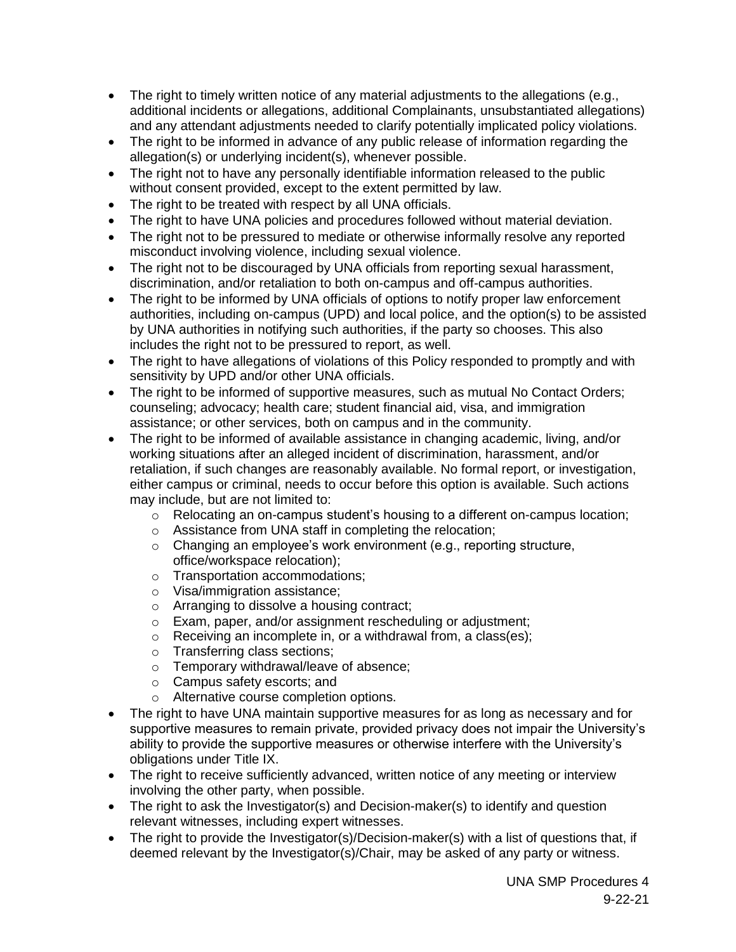- The right to timely written notice of any material adjustments to the allegations (e.g., additional incidents or allegations, additional Complainants, unsubstantiated allegations) and any attendant adjustments needed to clarify potentially implicated policy violations.
- The right to be informed in advance of any public release of information regarding the allegation(s) or underlying incident(s), whenever possible.
- The right not to have any personally identifiable information released to the public without consent provided, except to the extent permitted by law.
- The right to be treated with respect by all UNA officials.
- The right to have UNA policies and procedures followed without material deviation.
- The right not to be pressured to mediate or otherwise informally resolve any reported misconduct involving violence, including sexual violence.
- The right not to be discouraged by UNA officials from reporting sexual harassment, discrimination, and/or retaliation to both on-campus and off-campus authorities.
- The right to be informed by UNA officials of options to notify proper law enforcement authorities, including on-campus (UPD) and local police, and the option(s) to be assisted by UNA authorities in notifying such authorities, if the party so chooses. This also includes the right not to be pressured to report, as well.
- The right to have allegations of violations of this Policy responded to promptly and with sensitivity by UPD and/or other UNA officials.
- The right to be informed of supportive measures, such as mutual No Contact Orders; counseling; advocacy; health care; student financial aid, visa, and immigration assistance; or other services, both on campus and in the community.
- The right to be informed of available assistance in changing academic, living, and/or working situations after an alleged incident of discrimination, harassment, and/or retaliation, if such changes are reasonably available. No formal report, or investigation, either campus or criminal, needs to occur before this option is available. Such actions may include, but are not limited to:
	- o Relocating an on-campus student's housing to a different on-campus location;
	- o Assistance from UNA staff in completing the relocation;
	- o Changing an employee's work environment (e.g., reporting structure, office/workspace relocation);
	- o Transportation accommodations;
	- o Visa/immigration assistance;
	- o Arranging to dissolve a housing contract;
	- o Exam, paper, and/or assignment rescheduling or adjustment;
	- o Receiving an incomplete in, or a withdrawal from, a class(es);
	- o Transferring class sections;
	- o Temporary withdrawal/leave of absence;
	- o Campus safety escorts; and
	- o Alternative course completion options.
- The right to have UNA maintain supportive measures for as long as necessary and for supportive measures to remain private, provided privacy does not impair the University's ability to provide the supportive measures or otherwise interfere with the University's obligations under Title IX.
- The right to receive sufficiently advanced, written notice of any meeting or interview involving the other party, when possible.
- The right to ask the Investigator(s) and Decision-maker(s) to identify and question relevant witnesses, including expert witnesses.
- The right to provide the Investigator(s)/Decision-maker(s) with a list of questions that, if deemed relevant by the Investigator(s)/Chair, may be asked of any party or witness.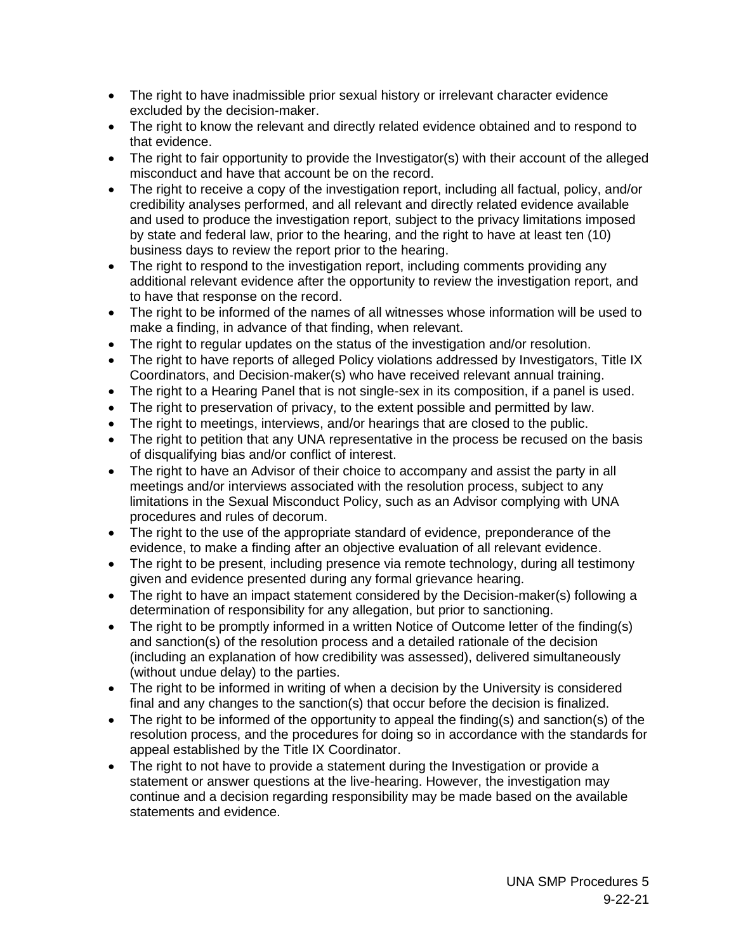- The right to have inadmissible prior sexual history or irrelevant character evidence excluded by the decision-maker.
- The right to know the relevant and directly related evidence obtained and to respond to that evidence.
- The right to fair opportunity to provide the Investigator(s) with their account of the alleged misconduct and have that account be on the record.
- The right to receive a copy of the investigation report, including all factual, policy, and/or credibility analyses performed, and all relevant and directly related evidence available and used to produce the investigation report, subject to the privacy limitations imposed by state and federal law, prior to the hearing, and the right to have at least ten (10) business days to review the report prior to the hearing.
- The right to respond to the investigation report, including comments providing any additional relevant evidence after the opportunity to review the investigation report, and to have that response on the record.
- The right to be informed of the names of all witnesses whose information will be used to make a finding, in advance of that finding, when relevant.
- The right to regular updates on the status of the investigation and/or resolution.
- The right to have reports of alleged Policy violations addressed by Investigators, Title IX Coordinators, and Decision-maker(s) who have received relevant annual training.
- The right to a Hearing Panel that is not single-sex in its composition, if a panel is used.
- The right to preservation of privacy, to the extent possible and permitted by law.
- The right to meetings, interviews, and/or hearings that are closed to the public.
- The right to petition that any UNA representative in the process be recused on the basis of disqualifying bias and/or conflict of interest.
- The right to have an Advisor of their choice to accompany and assist the party in all meetings and/or interviews associated with the resolution process, subject to any limitations in the Sexual Misconduct Policy, such as an Advisor complying with UNA procedures and rules of decorum.
- The right to the use of the appropriate standard of evidence, preponderance of the evidence, to make a finding after an objective evaluation of all relevant evidence.
- The right to be present, including presence via remote technology, during all testimony given and evidence presented during any formal grievance hearing.
- The right to have an impact statement considered by the Decision-maker(s) following a determination of responsibility for any allegation, but prior to sanctioning.
- The right to be promptly informed in a written Notice of Outcome letter of the finding(s) and sanction(s) of the resolution process and a detailed rationale of the decision (including an explanation of how credibility was assessed), delivered simultaneously (without undue delay) to the parties.
- The right to be informed in writing of when a decision by the University is considered final and any changes to the sanction(s) that occur before the decision is finalized.
- The right to be informed of the opportunity to appeal the finding(s) and sanction(s) of the resolution process, and the procedures for doing so in accordance with the standards for appeal established by the Title IX Coordinator.
- The right to not have to provide a statement during the Investigation or provide a statement or answer questions at the live-hearing. However, the investigation may continue and a decision regarding responsibility may be made based on the available statements and evidence.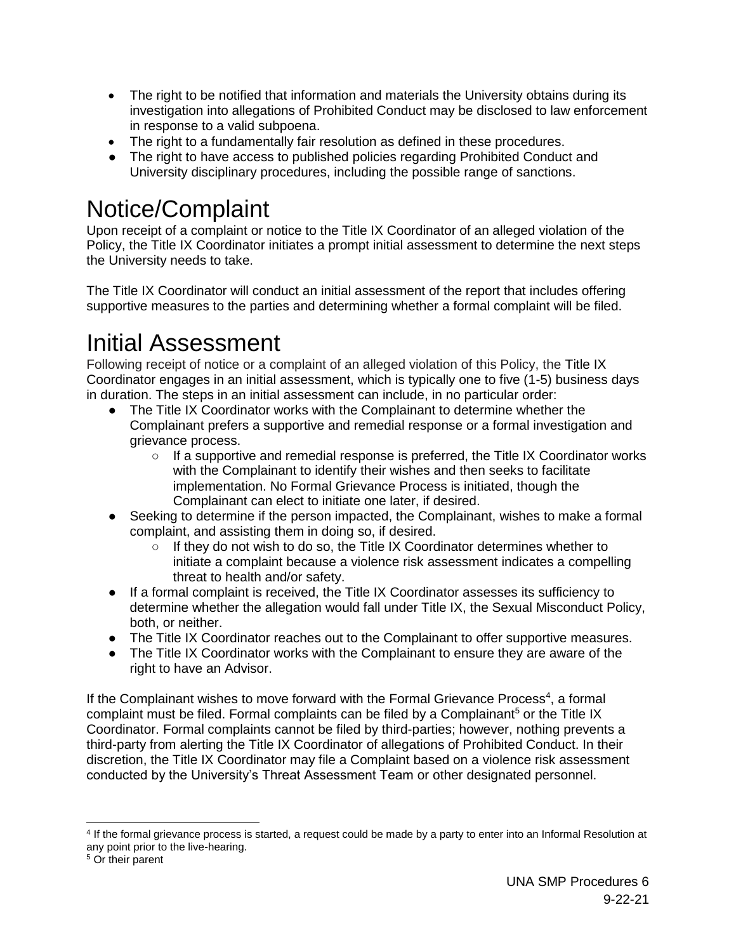- The right to be notified that information and materials the University obtains during its investigation into allegations of Prohibited Conduct may be disclosed to law enforcement in response to a valid subpoena.
- The right to a fundamentally fair resolution as defined in these procedures.
- The right to have access to published policies regarding Prohibited Conduct and University disciplinary procedures, including the possible range of sanctions.

## Notice/Complaint

Upon receipt of a complaint or notice to the Title IX Coordinator of an alleged violation of the Policy, the Title IX Coordinator initiates a prompt initial assessment to determine the next steps the University needs to take.

The Title IX Coordinator will conduct an initial assessment of the report that includes offering supportive measures to the parties and determining whether a formal complaint will be filed.

## Initial Assessment

Following receipt of notice or a complaint of an alleged violation of this Policy, the Title IX Coordinator engages in an initial assessment, which is typically one to five (1-5) business days in duration. The steps in an initial assessment can include, in no particular order:

- The Title IX Coordinator works with the Complainant to determine whether the Complainant prefers a supportive and remedial response or a formal investigation and grievance process.
	- $\circ$  If a supportive and remedial response is preferred, the Title IX Coordinator works with the Complainant to identify their wishes and then seeks to facilitate implementation. No Formal Grievance Process is initiated, though the Complainant can elect to initiate one later, if desired.
- Seeking to determine if the person impacted, the Complainant, wishes to make a formal complaint, and assisting them in doing so, if desired.
	- $\circ$  If they do not wish to do so, the Title IX Coordinator determines whether to initiate a complaint because a violence risk assessment indicates a compelling threat to health and/or safety.
- If a formal complaint is received, the Title IX Coordinator assesses its sufficiency to determine whether the allegation would fall under Title IX, the Sexual Misconduct Policy, both, or neither.
- The Title IX Coordinator reaches out to the Complainant to offer supportive measures.
- The Title IX Coordinator works with the Complainant to ensure they are aware of the right to have an Advisor.

If the Complainant wishes to move forward with the Formal Grievance Process<sup>4</sup>, a formal complaint must be filed. Formal complaints can be filed by a Complainant<sup>5</sup> or the Title IX Coordinator. Formal complaints cannot be filed by third-parties; however, nothing prevents a third-party from alerting the Title IX Coordinator of allegations of Prohibited Conduct. In their discretion, the Title IX Coordinator may file a Complaint based on a violence risk assessment conducted by the University's Threat Assessment Team or other designated personnel.

<sup>4</sup> If the formal grievance process is started, a request could be made by a party to enter into an Informal Resolution at any point prior to the live-hearing.

<sup>5</sup> Or their parent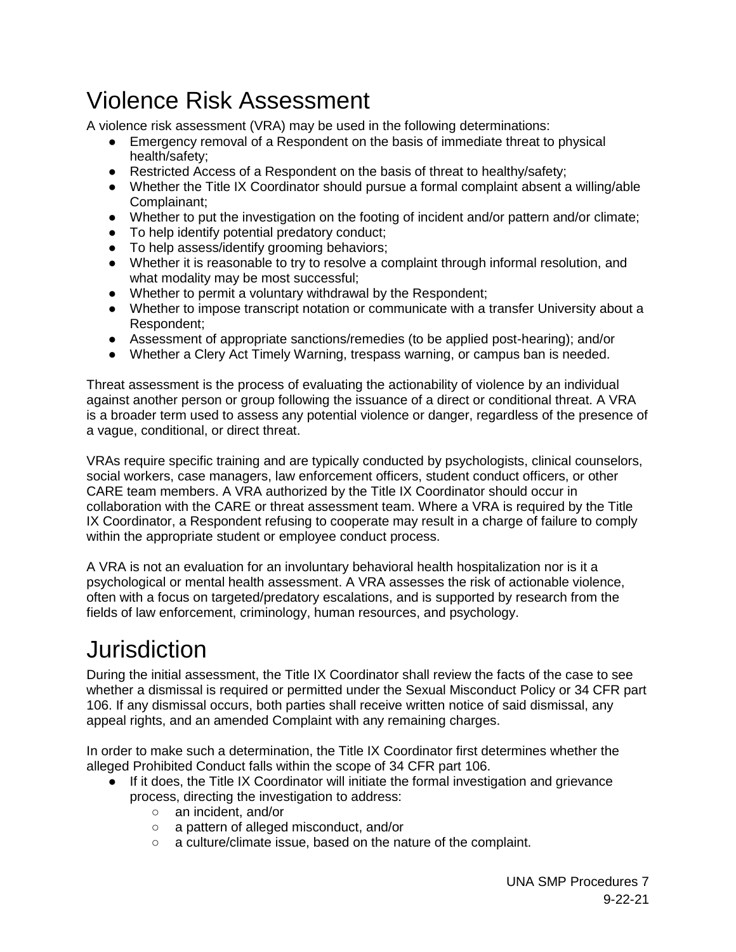### <span id="page-6-0"></span>Violence Risk Assessment

A violence risk assessment (VRA) may be used in the following determinations:

- Emergency removal of a Respondent on the basis of immediate threat to physical health/safety;
- Restricted Access of a Respondent on the basis of threat to healthy/safety;
- Whether the Title IX Coordinator should pursue a formal complaint absent a willing/able Complainant;
- Whether to put the investigation on the footing of incident and/or pattern and/or climate;
- To help identify potential predatory conduct;
- To help assess/identify grooming behaviors;
- Whether it is reasonable to try to resolve a complaint through informal resolution, and what modality may be most successful;
- Whether to permit a voluntary withdrawal by the Respondent;
- Whether to impose transcript notation or communicate with a transfer University about a Respondent;
- Assessment of appropriate sanctions/remedies (to be applied post-hearing); and/or
- Whether a Clery Act Timely Warning, trespass warning, or campus ban is needed.

Threat assessment is the process of evaluating the actionability of violence by an individual against another person or group following the issuance of a direct or conditional threat. A VRA is a broader term used to assess any potential violence or danger, regardless of the presence of a vague, conditional, or direct threat.

VRAs require specific training and are typically conducted by psychologists, clinical counselors, social workers, case managers, law enforcement officers, student conduct officers, or other CARE team members. A VRA authorized by the Title IX Coordinator should occur in collaboration with the CARE or threat assessment team. Where a VRA is required by the Title IX Coordinator, a Respondent refusing to cooperate may result in a charge of failure to comply within the appropriate student or employee conduct process.

A VRA is not an evaluation for an involuntary behavioral health hospitalization nor is it a psychological or mental health assessment. A VRA assesses the risk of actionable violence, often with a focus on targeted/predatory escalations, and is supported by research from the fields of law enforcement, criminology, human resources, and psychology.

## <span id="page-6-1"></span>Jurisdiction

During the initial assessment, the Title IX Coordinator shall review the facts of the case to see whether a dismissal is required or permitted under the Sexual Misconduct Policy or 34 CFR part 106. If any dismissal occurs, both parties shall receive written notice of said dismissal, any appeal rights, and an amended Complaint with any remaining charges.

In order to make such a determination, the Title IX Coordinator first determines whether the alleged Prohibited Conduct falls within the scope of 34 CFR part 106.

- If it does, the Title IX Coordinator will initiate the formal investigation and grievance process, directing the investigation to address:
	- an incident, and/or
	- a pattern of alleged misconduct, and/or
	- a culture/climate issue, based on the nature of the complaint.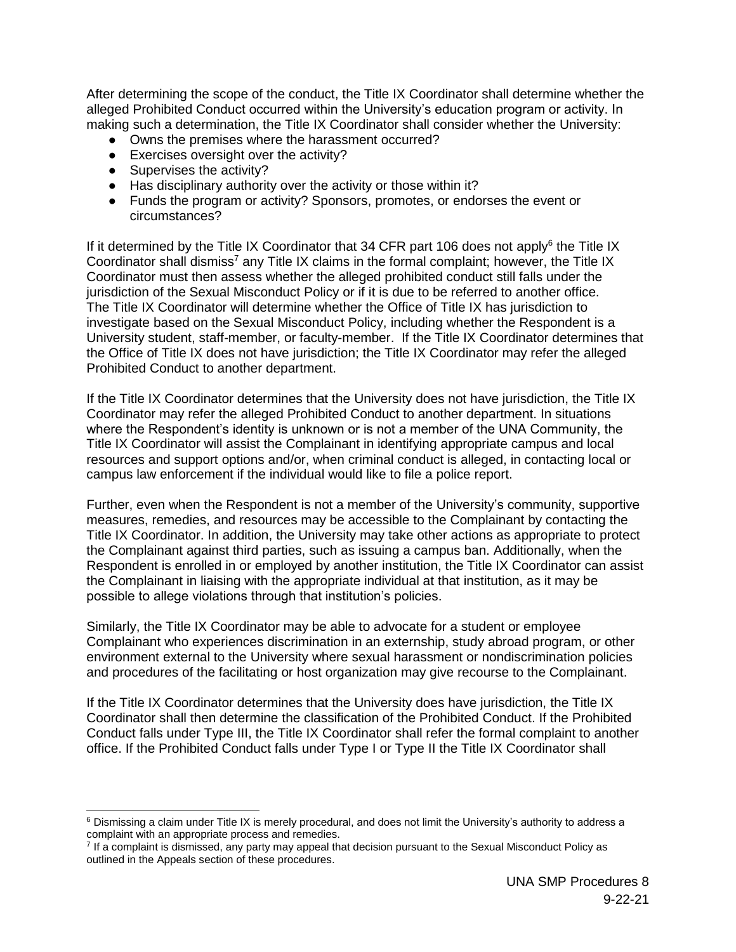After determining the scope of the conduct, the Title IX Coordinator shall determine whether the alleged Prohibited Conduct occurred within the University's education program or activity. In making such a determination, the Title IX Coordinator shall consider whether the University:

- Owns the premises where the harassment occurred?
- Exercises oversight over the activity?
- Supervises the activity?

 $\overline{a}$ 

- Has disciplinary authority over the activity or those within it?
- Funds the program or activity? Sponsors, promotes, or endorses the event or circumstances?

If it determined by the Title IX Coordinator that 34 CFR part 106 does not apply<sup>6</sup> the Title IX Coordinator shall dismiss<sup>7</sup> any Title IX claims in the formal complaint; however, the Title IX Coordinator must then assess whether the alleged prohibited conduct still falls under the jurisdiction of the Sexual Misconduct Policy or if it is due to be referred to another office. The Title IX Coordinator will determine whether the Office of Title IX has jurisdiction to investigate based on the Sexual Misconduct Policy, including whether the Respondent is a University student, staff-member, or faculty-member. If the Title IX Coordinator determines that the Office of Title IX does not have jurisdiction; the Title IX Coordinator may refer the alleged Prohibited Conduct to another department.

If the Title IX Coordinator determines that the University does not have jurisdiction, the Title IX Coordinator may refer the alleged Prohibited Conduct to another department. In situations where the Respondent's identity is unknown or is not a member of the UNA Community, the Title IX Coordinator will assist the Complainant in identifying appropriate campus and local resources and support options and/or, when criminal conduct is alleged, in contacting local or campus law enforcement if the individual would like to file a police report.

Further, even when the Respondent is not a member of the University's community, supportive measures, remedies, and resources may be accessible to the Complainant by contacting the Title IX Coordinator. In addition, the University may take other actions as appropriate to protect the Complainant against third parties, such as issuing a campus ban. Additionally, when the Respondent is enrolled in or employed by another institution, the Title IX Coordinator can assist the Complainant in liaising with the appropriate individual at that institution, as it may be possible to allege violations through that institution's policies.

Similarly, the Title IX Coordinator may be able to advocate for a student or employee Complainant who experiences discrimination in an externship, study abroad program, or other environment external to the University where sexual harassment or nondiscrimination policies and procedures of the facilitating or host organization may give recourse to the Complainant.

If the Title IX Coordinator determines that the University does have jurisdiction, the Title IX Coordinator shall then determine the classification of the Prohibited Conduct. If the Prohibited Conduct falls under Type III, the Title IX Coordinator shall refer the formal complaint to another office. If the Prohibited Conduct falls under Type I or Type II the Title IX Coordinator shall

 $6$  Dismissing a claim under Title IX is merely procedural, and does not limit the University's authority to address a complaint with an appropriate process and remedies.

<sup>&</sup>lt;sup>7</sup> If a complaint is dismissed, any party may appeal that decision pursuant to the Sexual Misconduct Policy as outlined in the Appeals section of these procedures.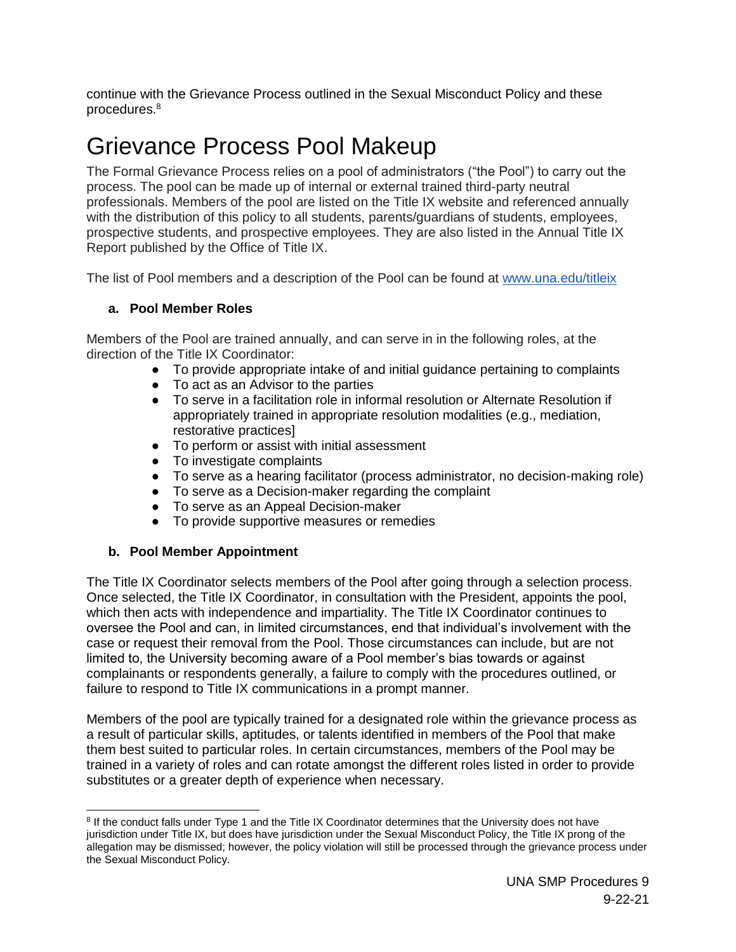continue with the Grievance Process outlined in the Sexual Misconduct Policy and these procedures.<sup>8</sup>

### <span id="page-8-0"></span>Grievance Process Pool Makeup

The Formal Grievance Process relies on a pool of administrators ("the Pool") to carry out the process. The pool can be made up of internal or external trained third-party neutral professionals. Members of the pool are listed on the Title IX website and referenced annually with the distribution of this policy to all students, parents/guardians of students, employees, prospective students, and prospective employees. They are also listed in the Annual Title IX Report published by the Office of Title IX.

The list of Pool members and a description of the Pool can be found at [www.una.edu/titleix](http://www.una.edu/titleix)

#### **a. Pool Member Roles**

Members of the Pool are trained annually, and can serve in in the following roles, at the direction of the Title IX Coordinator:

- To provide appropriate intake of and initial guidance pertaining to complaints
- To act as an Advisor to the parties
- To serve in a facilitation role in informal resolution or Alternate Resolution if appropriately trained in appropriate resolution modalities (e.g., mediation, restorative practices]
- To perform or assist with initial assessment
- To investigate complaints
- To serve as a hearing facilitator (process administrator, no decision-making role)
- To serve as a Decision-maker regarding the complaint
- To serve as an Appeal Decision-maker
- To provide supportive measures or remedies

#### **b. Pool Member Appointment**

The Title IX Coordinator selects members of the Pool after going through a selection process. Once selected, the Title IX Coordinator, in consultation with the President, appoints the pool, which then acts with independence and impartiality. The Title IX Coordinator continues to oversee the Pool and can, in limited circumstances, end that individual's involvement with the case or request their removal from the Pool. Those circumstances can include, but are not limited to, the University becoming aware of a Pool member's bias towards or against complainants or respondents generally, a failure to comply with the procedures outlined, or failure to respond to Title IX communications in a prompt manner.

Members of the pool are typically trained for a designated role within the grievance process as a result of particular skills, aptitudes, or talents identified in members of the Pool that make them best suited to particular roles. In certain circumstances, members of the Pool may be trained in a variety of roles and can rotate amongst the different roles listed in order to provide substitutes or a greater depth of experience when necessary.

 $\overline{a}$ <sup>8</sup> If the conduct falls under Type 1 and the Title IX Coordinator determines that the University does not have jurisdiction under Title IX, but does have jurisdiction under the Sexual Misconduct Policy, the Title IX prong of the allegation may be dismissed; however, the policy violation will still be processed through the grievance process under the Sexual Misconduct Policy.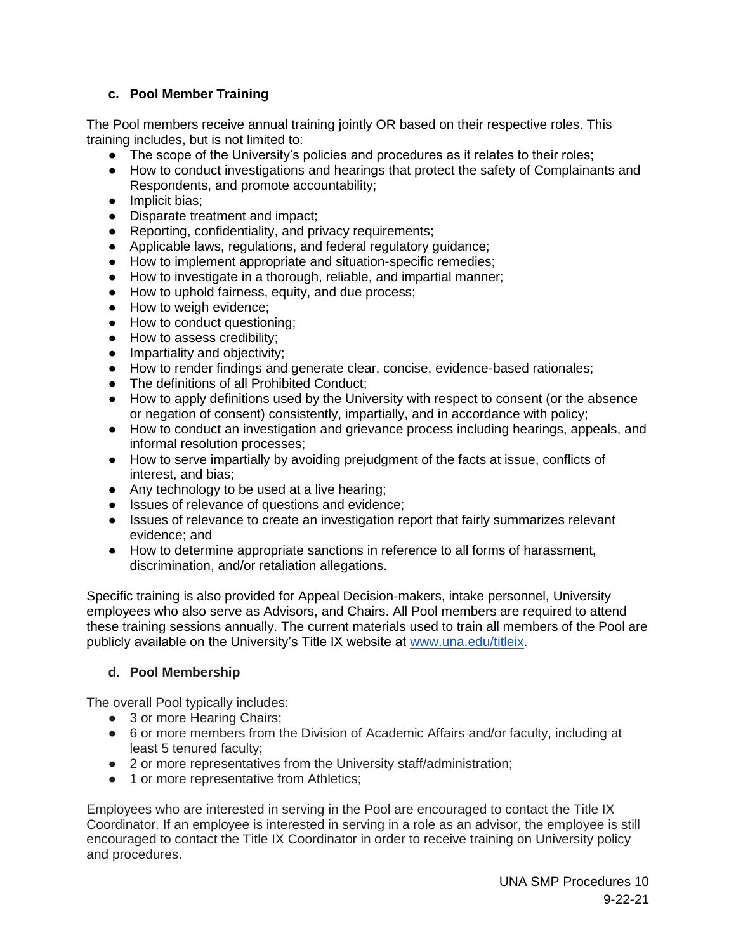#### **c. Pool Member Training**

The Pool members receive annual training jointly OR based on their respective roles. This training includes, but is not limited to:

- The scope of the University's policies and procedures as it relates to their roles;
- How to conduct investigations and hearings that protect the safety of Complainants and Respondents, and promote accountability;
- Implicit bias:
- Disparate treatment and impact;
- Reporting, confidentiality, and privacy requirements;
- Applicable laws, regulations, and federal regulatory guidance;
- How to implement appropriate and situation-specific remedies;
- How to investigate in a thorough, reliable, and impartial manner;
- How to uphold fairness, equity, and due process;
- How to weigh evidence:
- How to conduct questioning;
- How to assess credibility;
- Impartiality and objectivity;
- How to render findings and generate clear, concise, evidence-based rationales;
- The definitions of all Prohibited Conduct;
- How to apply definitions used by the University with respect to consent (or the absence or negation of consent) consistently, impartially, and in accordance with policy;
- How to conduct an investigation and grievance process including hearings, appeals, and informal resolution processes;
- How to serve impartially by avoiding prejudgment of the facts at issue, conflicts of interest, and bias;
- Any technology to be used at a live hearing;
- Issues of relevance of questions and evidence;
- Issues of relevance to create an investigation report that fairly summarizes relevant evidence; and
- How to determine appropriate sanctions in reference to all forms of harassment, discrimination, and/or retaliation allegations.

Specific training is also provided for Appeal Decision-makers, intake personnel, University employees who also serve as Advisors, and Chairs. All Pool members are required to attend these training sessions annually. The current materials used to train all members of the Pool are publicly available on the University's Title IX website at [www.una.edu/titleix.](http://www.una.edu/titleix)

#### **d. Pool Membership**

The overall Pool typically includes:

- 3 or more Hearing Chairs:
- 6 or more members from the Division of Academic Affairs and/or faculty, including at least 5 tenured faculty;
- 2 or more representatives from the University staff/administration;
- 1 or more representative from Athletics;

Employees who are interested in serving in the Pool are encouraged to contact the Title IX Coordinator. If an employee is interested in serving in a role as an advisor, the employee is still encouraged to contact the Title IX Coordinator in order to receive training on University policy and procedures.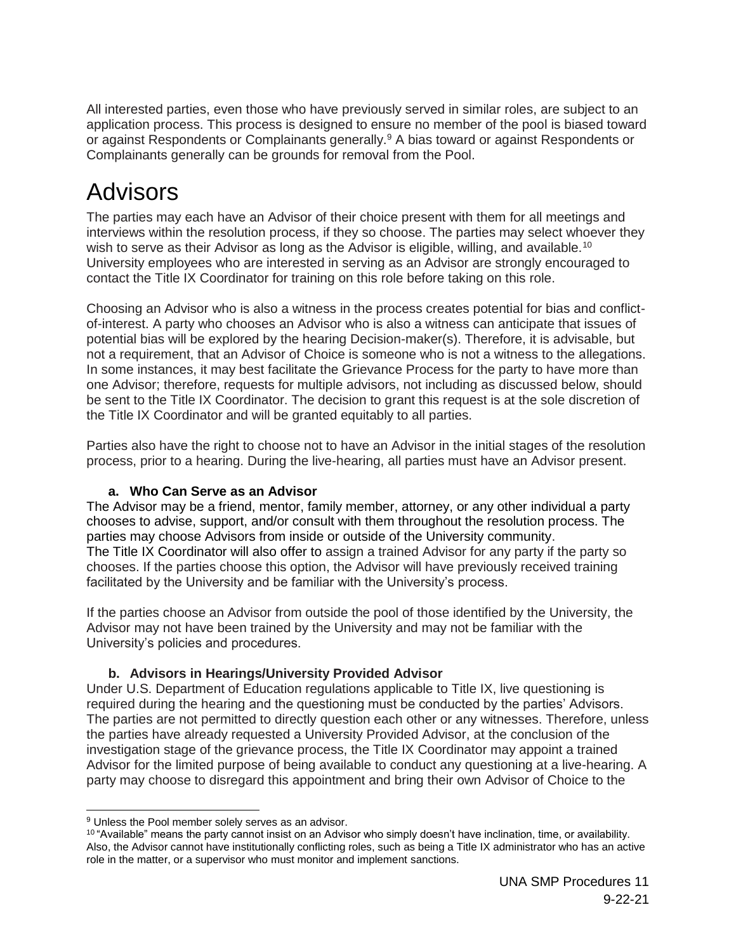All interested parties, even those who have previously served in similar roles, are subject to an application process. This process is designed to ensure no member of the pool is biased toward or against Respondents or Complainants generally.<sup>9</sup> A bias toward or against Respondents or Complainants generally can be grounds for removal from the Pool.

### <span id="page-10-0"></span>Advisors

The parties may each have an Advisor of their choice present with them for all meetings and interviews within the resolution process, if they so choose. The parties may select whoever they wish to serve as their Advisor as long as the Advisor is eligible, willing, and available.<sup>10</sup> University employees who are interested in serving as an Advisor are strongly encouraged to contact the Title IX Coordinator for training on this role before taking on this role.

Choosing an Advisor who is also a witness in the process creates potential for bias and conflictof-interest. A party who chooses an Advisor who is also a witness can anticipate that issues of potential bias will be explored by the hearing Decision-maker(s). Therefore, it is advisable, but not a requirement, that an Advisor of Choice is someone who is not a witness to the allegations. In some instances, it may best facilitate the Grievance Process for the party to have more than one Advisor; therefore, requests for multiple advisors, not including as discussed below, should be sent to the Title IX Coordinator. The decision to grant this request is at the sole discretion of the Title IX Coordinator and will be granted equitably to all parties.

Parties also have the right to choose not to have an Advisor in the initial stages of the resolution process, prior to a hearing. During the live-hearing, all parties must have an Advisor present.

#### **a. Who Can Serve as an Advisor**

The Advisor may be a friend, mentor, family member, attorney, or any other individual a party chooses to advise, support, and/or consult with them throughout the resolution process. The parties may choose Advisors from inside or outside of the University community. The Title IX Coordinator will also offer to assign a trained Advisor for any party if the party so chooses. If the parties choose this option, the Advisor will have previously received training facilitated by the University and be familiar with the University's process.

If the parties choose an Advisor from outside the pool of those identified by the University, the Advisor may not have been trained by the University and may not be familiar with the University's policies and procedures.

#### **b. Advisors in Hearings/University Provided Advisor**

Under U.S. Department of Education regulations applicable to Title IX, live questioning is required during the hearing and the questioning must be conducted by the parties' Advisors. The parties are not permitted to directly question each other or any witnesses. Therefore, unless the parties have already requested a University Provided Advisor, at the conclusion of the investigation stage of the grievance process, the Title IX Coordinator may appoint a trained Advisor for the limited purpose of being available to conduct any questioning at a live-hearing. A party may choose to disregard this appointment and bring their own Advisor of Choice to the

 $\overline{a}$ <sup>9</sup> Unless the Pool member solely serves as an advisor.

<sup>10</sup> "Available" means the party cannot insist on an Advisor who simply doesn't have inclination, time, or availability. Also, the Advisor cannot have institutionally conflicting roles, such as being a Title IX administrator who has an active role in the matter, or a supervisor who must monitor and implement sanctions.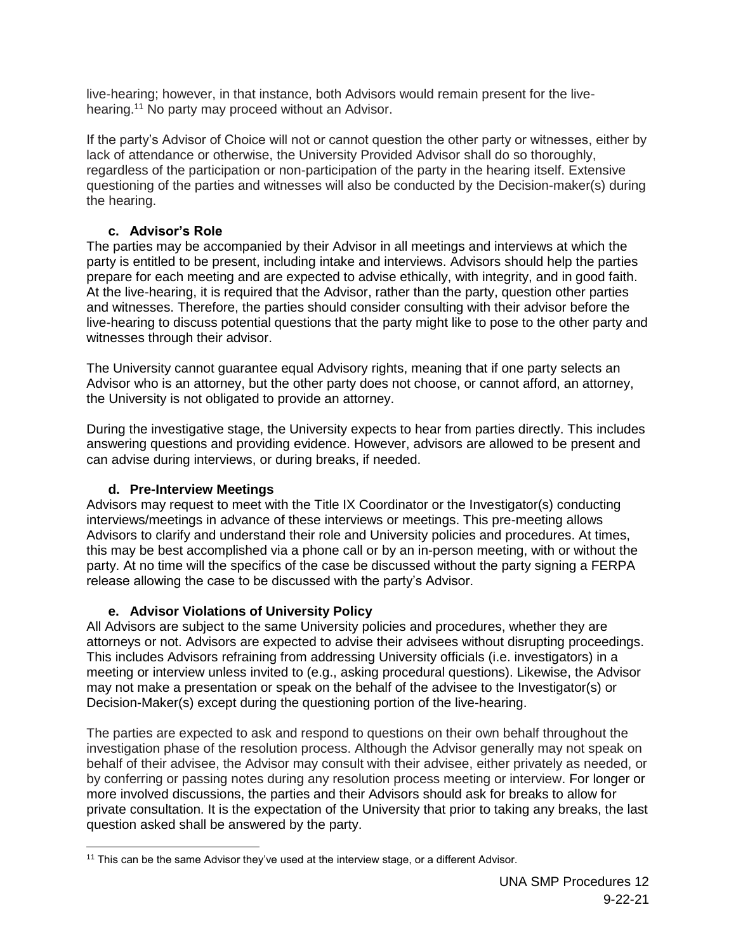live-hearing; however, in that instance, both Advisors would remain present for the livehearing.<sup>11</sup> No party may proceed without an Advisor.

If the party's Advisor of Choice will not or cannot question the other party or witnesses, either by lack of attendance or otherwise, the University Provided Advisor shall do so thoroughly, regardless of the participation or non-participation of the party in the hearing itself. Extensive questioning of the parties and witnesses will also be conducted by the Decision-maker(s) during the hearing.

#### **c. Advisor's Role**

The parties may be accompanied by their Advisor in all meetings and interviews at which the party is entitled to be present, including intake and interviews. Advisors should help the parties prepare for each meeting and are expected to advise ethically, with integrity, and in good faith. At the live-hearing, it is required that the Advisor, rather than the party, question other parties and witnesses. Therefore, the parties should consider consulting with their advisor before the live-hearing to discuss potential questions that the party might like to pose to the other party and witnesses through their advisor.

The University cannot guarantee equal Advisory rights, meaning that if one party selects an Advisor who is an attorney, but the other party does not choose, or cannot afford, an attorney, the University is not obligated to provide an attorney.

During the investigative stage, the University expects to hear from parties directly. This includes answering questions and providing evidence. However, advisors are allowed to be present and can advise during interviews, or during breaks, if needed.

#### **d. Pre-Interview Meetings**

Advisors may request to meet with the Title IX Coordinator or the Investigator(s) conducting interviews/meetings in advance of these interviews or meetings. This pre-meeting allows Advisors to clarify and understand their role and University policies and procedures. At times, this may be best accomplished via a phone call or by an in-person meeting, with or without the party. At no time will the specifics of the case be discussed without the party signing a FERPA release allowing the case to be discussed with the party's Advisor.

#### **e. Advisor Violations of University Policy**

All Advisors are subject to the same University policies and procedures, whether they are attorneys or not. Advisors are expected to advise their advisees without disrupting proceedings. This includes Advisors refraining from addressing University officials (i.e. investigators) in a meeting or interview unless invited to (e.g., asking procedural questions). Likewise, the Advisor may not make a presentation or speak on the behalf of the advisee to the Investigator(s) or Decision-Maker(s) except during the questioning portion of the live-hearing.

The parties are expected to ask and respond to questions on their own behalf throughout the investigation phase of the resolution process. Although the Advisor generally may not speak on behalf of their advisee, the Advisor may consult with their advisee, either privately as needed, or by conferring or passing notes during any resolution process meeting or interview. For longer or more involved discussions, the parties and their Advisors should ask for breaks to allow for private consultation. It is the expectation of the University that prior to taking any breaks, the last question asked shall be answered by the party.

 <sup>11</sup> This can be the same Advisor they've used at the interview stage, or a different Advisor.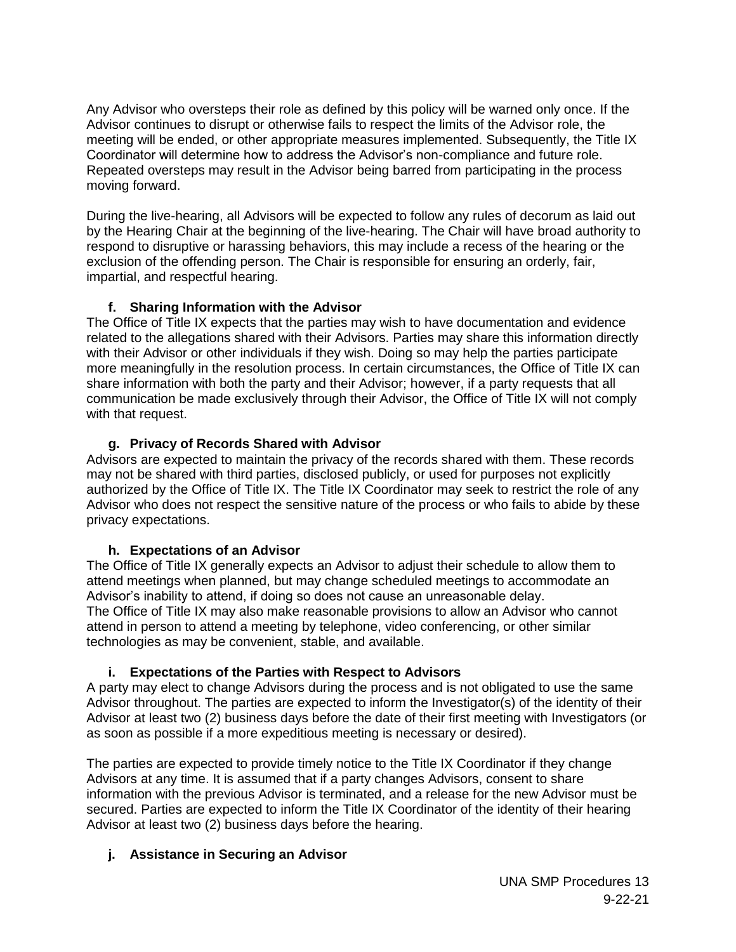Any Advisor who oversteps their role as defined by this policy will be warned only once. If the Advisor continues to disrupt or otherwise fails to respect the limits of the Advisor role, the meeting will be ended, or other appropriate measures implemented. Subsequently, the Title IX Coordinator will determine how to address the Advisor's non-compliance and future role. Repeated oversteps may result in the Advisor being barred from participating in the process moving forward.

During the live-hearing, all Advisors will be expected to follow any rules of decorum as laid out by the Hearing Chair at the beginning of the live-hearing. The Chair will have broad authority to respond to disruptive or harassing behaviors, this may include a recess of the hearing or the exclusion of the offending person. The Chair is responsible for ensuring an orderly, fair, impartial, and respectful hearing.

#### **f. Sharing Information with the Advisor**

The Office of Title IX expects that the parties may wish to have documentation and evidence related to the allegations shared with their Advisors. Parties may share this information directly with their Advisor or other individuals if they wish. Doing so may help the parties participate more meaningfully in the resolution process. In certain circumstances, the Office of Title IX can share information with both the party and their Advisor; however, if a party requests that all communication be made exclusively through their Advisor, the Office of Title IX will not comply with that request.

#### **g. Privacy of Records Shared with Advisor**

Advisors are expected to maintain the privacy of the records shared with them. These records may not be shared with third parties, disclosed publicly, or used for purposes not explicitly authorized by the Office of Title IX. The Title IX Coordinator may seek to restrict the role of any Advisor who does not respect the sensitive nature of the process or who fails to abide by these privacy expectations.

#### **h. Expectations of an Advisor**

The Office of Title IX generally expects an Advisor to adjust their schedule to allow them to attend meetings when planned, but may change scheduled meetings to accommodate an Advisor's inability to attend, if doing so does not cause an unreasonable delay. The Office of Title IX may also make reasonable provisions to allow an Advisor who cannot attend in person to attend a meeting by telephone, video conferencing, or other similar technologies as may be convenient, stable, and available.

#### **i. Expectations of the Parties with Respect to Advisors**

A party may elect to change Advisors during the process and is not obligated to use the same Advisor throughout. The parties are expected to inform the Investigator(s) of the identity of their Advisor at least two (2) business days before the date of their first meeting with Investigators (or as soon as possible if a more expeditious meeting is necessary or desired).

The parties are expected to provide timely notice to the Title IX Coordinator if they change Advisors at any time. It is assumed that if a party changes Advisors, consent to share information with the previous Advisor is terminated, and a release for the new Advisor must be secured. Parties are expected to inform the Title IX Coordinator of the identity of their hearing Advisor at least two (2) business days before the hearing.

#### **j. Assistance in Securing an Advisor**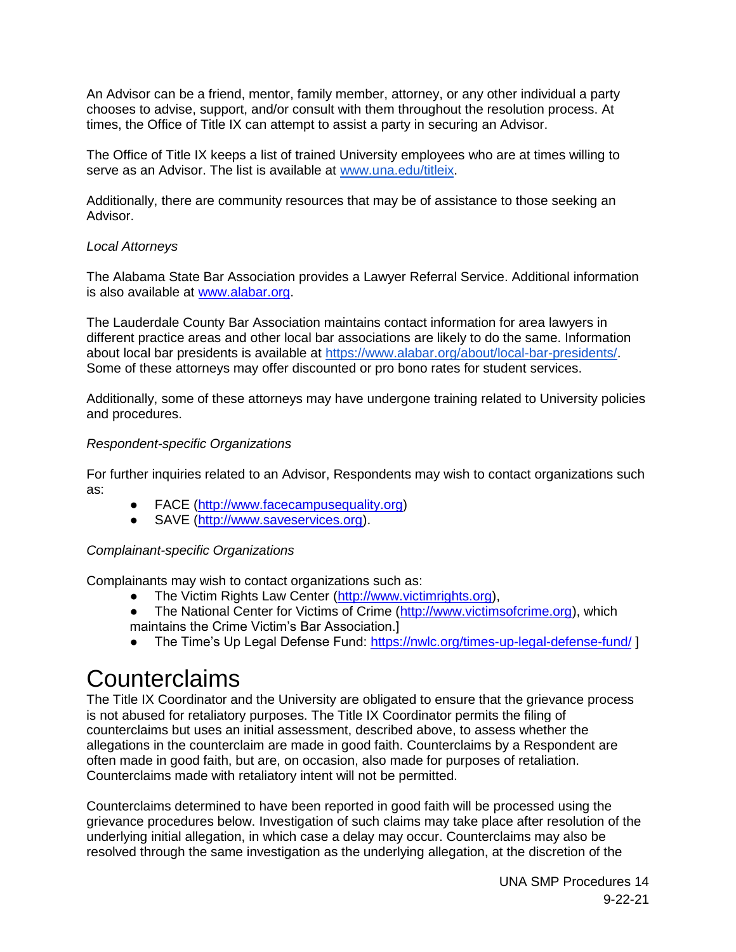An Advisor can be a friend, mentor, family member, attorney, or any other individual a party chooses to advise, support, and/or consult with them throughout the resolution process. At times, the Office of Title IX can attempt to assist a party in securing an Advisor.

The Office of Title IX keeps a list of trained University employees who are at times willing to serve as an Advisor. The list is available at [www.una.edu/titleix.](http://www.una.edu/titleix)

Additionally, there are community resources that may be of assistance to those seeking an Advisor.

#### *Local Attorneys*

The Alabama State Bar Association provides a Lawyer Referral Service. Additional information is also available at [www.alabar.org.](http://www.alabar.org/)

The Lauderdale County Bar Association maintains contact information for area lawyers in different practice areas and other local bar associations are likely to do the same. Information about local bar presidents is available at [https://www.alabar.org/about/local-bar-presidents/.](https://www.alabar.org/about/local-bar-presidents/) Some of these attorneys may offer discounted or pro bono rates for student services.

Additionally, some of these attorneys may have undergone training related to University policies and procedures.

#### *Respondent-specific Organizations*

For further inquiries related to an Advisor, Respondents may wish to contact organizations such as:

- FACE [\(http://www.facecampusequality.org\)](http://www.facecampusequality.org/)
- SAVE [\(http://www.saveservices.org\)](http://www.saveservices.org/).

#### *Complainant-specific Organizations*

Complainants may wish to contact organizations such as:

- The Victim Rights Law Center [\(http://www.victimrights.org\)](http://www.victimrights.org/),
- The National Center for Victims of Crime [\(http://www.victimsofcrime.org\)](http://www.victimsofcrime.org/), which maintains the Crime Victim's Bar Association.]
- The Time's Up Legal Defense Fund[:](https://nwlc.org/times-up-legal-defense-fund/) <https://nwlc.org/times-up-legal-defense-fund/> ]

### **Counterclaims**

The Title IX Coordinator and the University are obligated to ensure that the grievance process is not abused for retaliatory purposes. The Title IX Coordinator permits the filing of counterclaims but uses an initial assessment, described above, to assess whether the allegations in the counterclaim are made in good faith. Counterclaims by a Respondent are often made in good faith, but are, on occasion, also made for purposes of retaliation. Counterclaims made with retaliatory intent will not be permitted.

Counterclaims determined to have been reported in good faith will be processed using the grievance procedures below. Investigation of such claims may take place after resolution of the underlying initial allegation, in which case a delay may occur. Counterclaims may also be resolved through the same investigation as the underlying allegation, at the discretion of the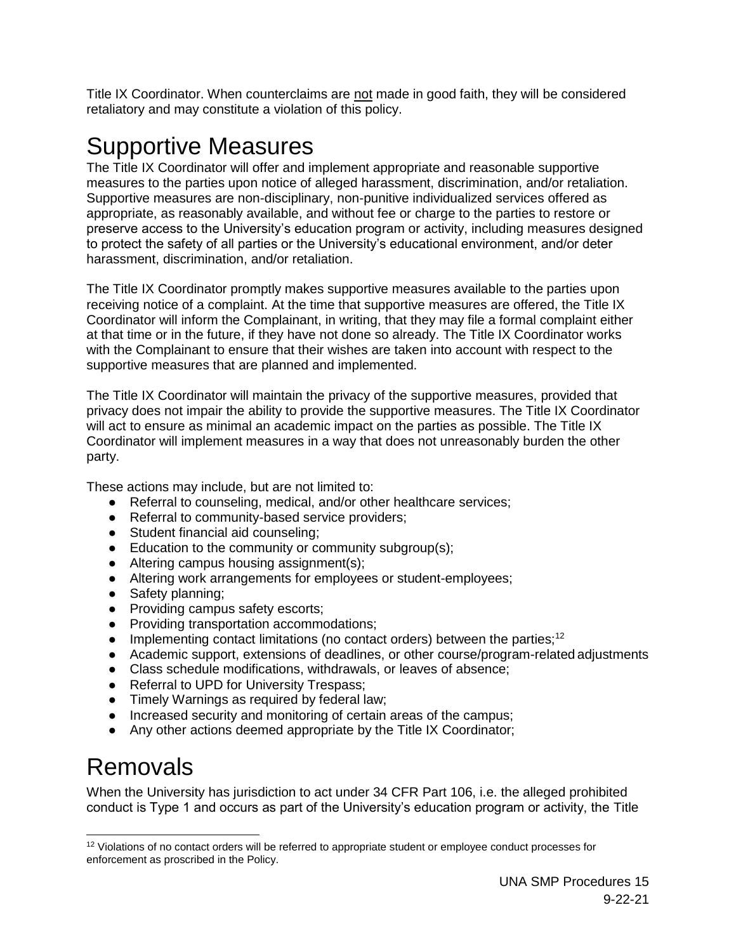Title IX Coordinator. When counterclaims are not made in good faith, they will be considered retaliatory and may constitute a violation of this policy.

### Supportive Measures

The Title IX Coordinator will offer and implement appropriate and reasonable supportive measures to the parties upon notice of alleged harassment, discrimination, and/or retaliation. Supportive measures are non-disciplinary, non-punitive individualized services offered as appropriate, as reasonably available, and without fee or charge to the parties to restore or preserve access to the University's education program or activity, including measures designed to protect the safety of all parties or the University's educational environment, and/or deter harassment, discrimination, and/or retaliation.

The Title IX Coordinator promptly makes supportive measures available to the parties upon receiving notice of a complaint. At the time that supportive measures are offered, the Title IX Coordinator will inform the Complainant, in writing, that they may file a formal complaint either at that time or in the future, if they have not done so already. The Title IX Coordinator works with the Complainant to ensure that their wishes are taken into account with respect to the supportive measures that are planned and implemented.

The Title IX Coordinator will maintain the privacy of the supportive measures, provided that privacy does not impair the ability to provide the supportive measures. The Title IX Coordinator will act to ensure as minimal an academic impact on the parties as possible. The Title IX Coordinator will implement measures in a way that does not unreasonably burden the other party.

These actions may include, but are not limited to:

- Referral to counseling, medical, and/or other healthcare services;
- Referral to community-based service providers;
- Student financial aid counseling;
- Education to the community or community subgroup(s);
- Altering campus housing assignment(s);
- Altering work arrangements for employees or student-employees;
- Safety planning;
- Providing campus safety escorts;
- Providing transportation accommodations;
- Implementing contact limitations (no contact orders) between the parties;<sup>12</sup>
- Academic support, extensions of deadlines, or other course/program-related adjustments
- Class schedule modifications, withdrawals, or leaves of absence;
- Referral to UPD for University Trespass;
- Timely Warnings as required by federal law;
- Increased security and monitoring of certain areas of the campus;
- Any other actions deemed appropriate by the Title IX Coordinator;

### <span id="page-14-0"></span>Removals

 $\overline{a}$ 

When the University has jurisdiction to act under 34 CFR Part 106, i.e. the alleged prohibited conduct is Type 1 and occurs as part of the University's education program or activity, the Title

<sup>&</sup>lt;sup>12</sup> Violations of no contact orders will be referred to appropriate student or employee conduct processes for enforcement as proscribed in the Policy.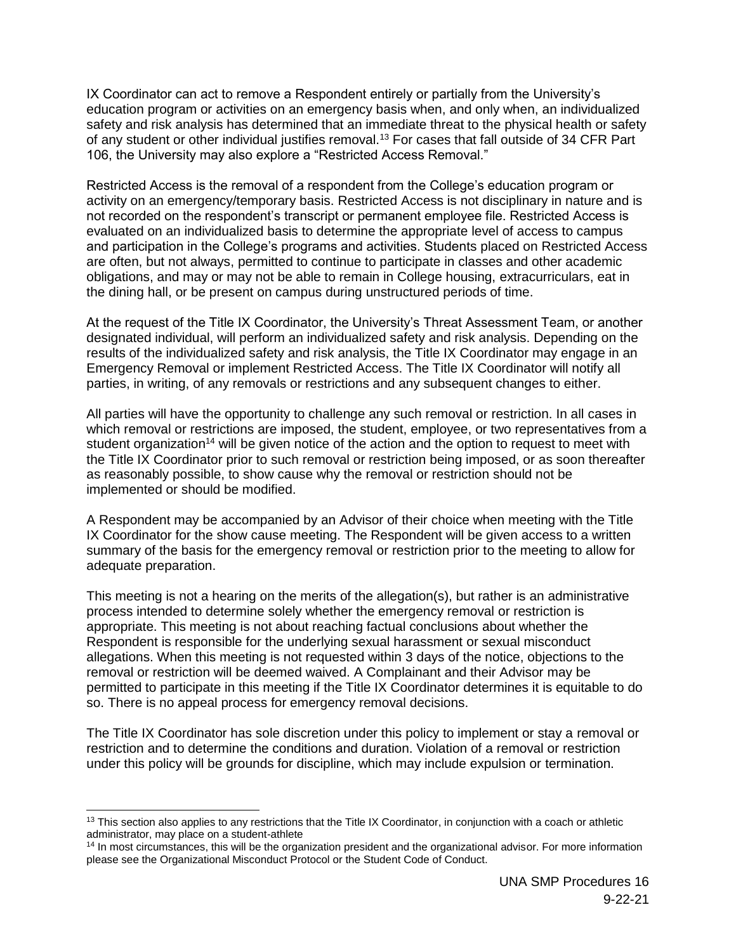IX Coordinator can act to remove a Respondent entirely or partially from the University's education program or activities on an emergency basis when, and only when, an individualized safety and risk analysis has determined that an immediate threat to the physical health or safety of any student or other individual justifies removal.<sup>13</sup> For cases that fall outside of 34 CFR Part 106, the University may also explore a "Restricted Access Removal."

Restricted Access is the removal of a respondent from the College's education program or activity on an emergency/temporary basis. Restricted Access is not disciplinary in nature and is not recorded on the respondent's transcript or permanent employee file. Restricted Access is evaluated on an individualized basis to determine the appropriate level of access to campus and participation in the College's programs and activities. Students placed on Restricted Access are often, but not always, permitted to continue to participate in classes and other academic obligations, and may or may not be able to remain in College housing, extracurriculars, eat in the dining hall, or be present on campus during unstructured periods of time.

At the request of the Title IX Coordinator, the University's Threat Assessment Team, or another designated individual, will perform an individualized safety and risk analysis. Depending on the results of the individualized safety and risk analysis, the Title IX Coordinator may engage in an Emergency Removal or implement Restricted Access. The Title IX Coordinator will notify all parties, in writing, of any removals or restrictions and any subsequent changes to either.

All parties will have the opportunity to challenge any such removal or restriction. In all cases in which removal or restrictions are imposed, the student, employee, or two representatives from a student organization<sup>14</sup> will be given notice of the action and the option to request to meet with the Title IX Coordinator prior to such removal or restriction being imposed, or as soon thereafter as reasonably possible, to show cause why the removal or restriction should not be implemented or should be modified.

A Respondent may be accompanied by an Advisor of their choice when meeting with the Title IX Coordinator for the show cause meeting. The Respondent will be given access to a written summary of the basis for the emergency removal or restriction prior to the meeting to allow for adequate preparation.

This meeting is not a hearing on the merits of the allegation(s), but rather is an administrative process intended to determine solely whether the emergency removal or restriction is appropriate. This meeting is not about reaching factual conclusions about whether the Respondent is responsible for the underlying sexual harassment or sexual misconduct allegations. When this meeting is not requested within 3 days of the notice, objections to the removal or restriction will be deemed waived. A Complainant and their Advisor may be permitted to participate in this meeting if the Title IX Coordinator determines it is equitable to do so. There is no appeal process for emergency removal decisions.

The Title IX Coordinator has sole discretion under this policy to implement or stay a removal or restriction and to determine the conditions and duration. Violation of a removal or restriction under this policy will be grounds for discipline, which may include expulsion or termination.

 $\overline{a}$ 

 $13$  This section also applies to any restrictions that the Title IX Coordinator, in conjunction with a coach or athletic administrator, may place on a student-athlete

<sup>&</sup>lt;sup>14</sup> In most circumstances, this will be the organization president and the organizational advisor. For more information please see the Organizational Misconduct Protocol or the Student Code of Conduct.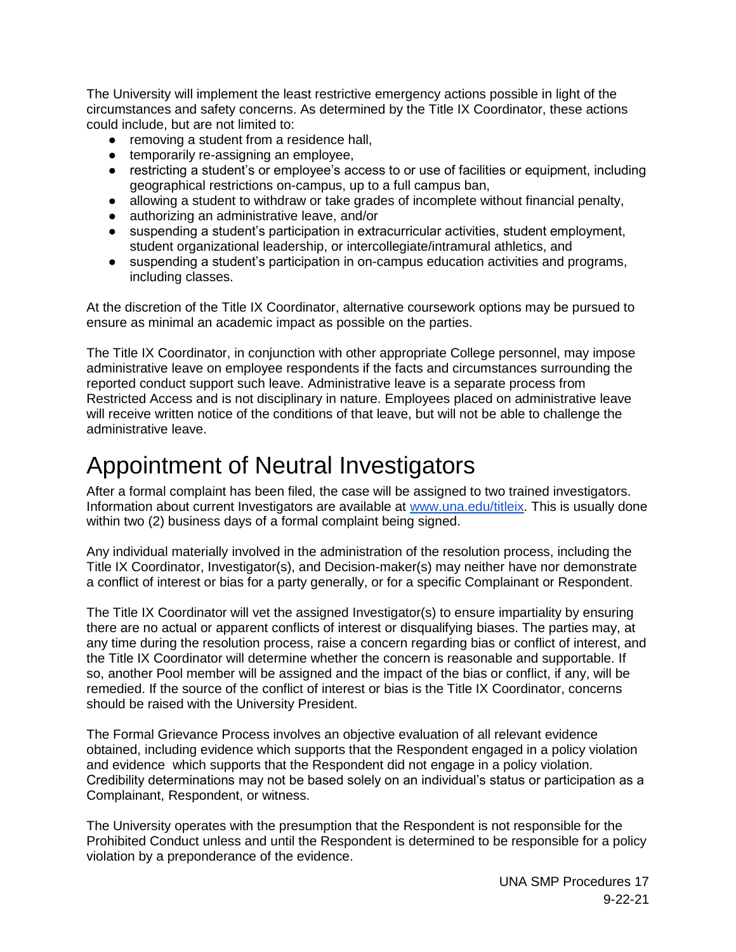The University will implement the least restrictive emergency actions possible in light of the circumstances and safety concerns. As determined by the Title IX Coordinator, these actions could include, but are not limited to:

- removing a student from a residence hall,
- temporarily re-assigning an employee,
- restricting a student's or employee's access to or use of facilities or equipment, including geographical restrictions on-campus, up to a full campus ban,
- allowing a student to withdraw or take grades of incomplete without financial penalty,
- authorizing an administrative leave, and/or
- suspending a student's participation in extracurricular activities, student employment, student organizational leadership, or intercollegiate/intramural athletics, and
- suspending a student's participation in on-campus education activities and programs, including classes.

At the discretion of the Title IX Coordinator, alternative coursework options may be pursued to ensure as minimal an academic impact as possible on the parties.

The Title IX Coordinator, in conjunction with other appropriate College personnel, may impose administrative leave on employee respondents if the facts and circumstances surrounding the reported conduct support such leave. Administrative leave is a separate process from Restricted Access and is not disciplinary in nature. Employees placed on administrative leave will receive written notice of the conditions of that leave, but will not be able to challenge the administrative leave.

### <span id="page-16-0"></span>Appointment of Neutral Investigators

After a formal complaint has been filed, the case will be assigned to two trained investigators. Information about current Investigators are available at [www.una.edu/titleix.](http://www.una.edu/titleix) This is usually done within two (2) business days of a formal complaint being signed.

Any individual materially involved in the administration of the resolution process, including the Title IX Coordinator, Investigator(s), and Decision-maker(s) may neither have nor demonstrate a conflict of interest or bias for a party generally, or for a specific Complainant or Respondent.

The Title IX Coordinator will vet the assigned Investigator(s) to ensure impartiality by ensuring there are no actual or apparent conflicts of interest or disqualifying biases. The parties may, at any time during the resolution process, raise a concern regarding bias or conflict of interest, and the Title IX Coordinator will determine whether the concern is reasonable and supportable. If so, another Pool member will be assigned and the impact of the bias or conflict, if any, will be remedied. If the source of the conflict of interest or bias is the Title IX Coordinator, concerns should be raised with the University President.

The Formal Grievance Process involves an objective evaluation of all relevant evidence obtained, including evidence which supports that the Respondent engaged in a policy violation and evidence which supports that the Respondent did not engage in a policy violation. Credibility determinations may not be based solely on an individual's status or participation as a Complainant, Respondent, or witness.

The University operates with the presumption that the Respondent is not responsible for the Prohibited Conduct unless and until the Respondent is determined to be responsible for a policy violation by a preponderance of the evidence.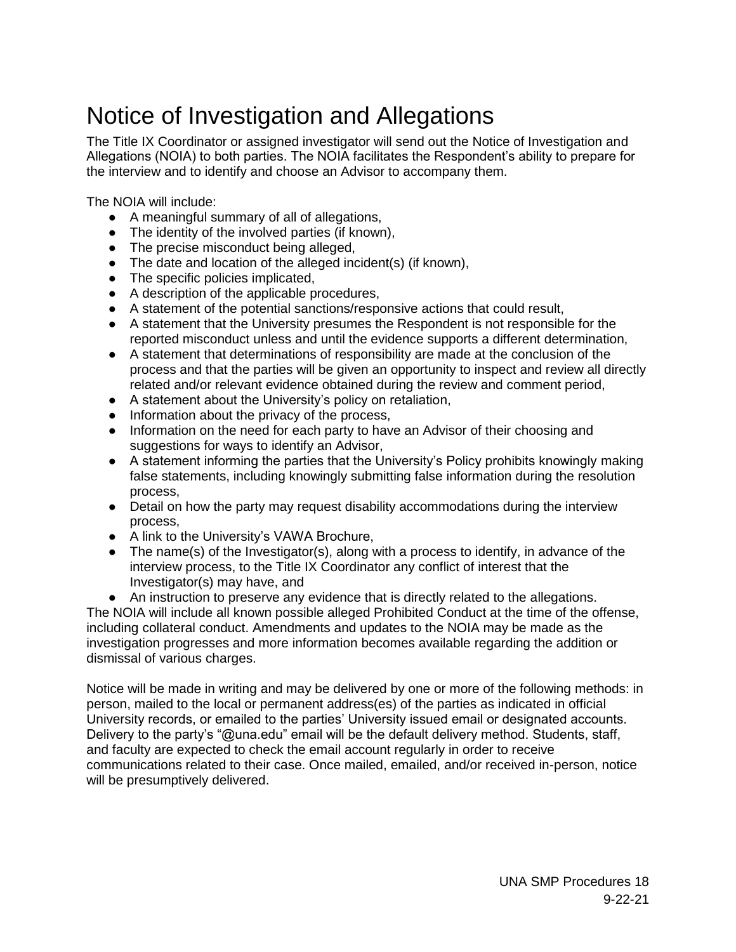### <span id="page-17-0"></span>Notice of Investigation and Allegations

The Title IX Coordinator or assigned investigator will send out the Notice of Investigation and Allegations (NOIA) to both parties. The NOIA facilitates the Respondent's ability to prepare for the interview and to identify and choose an Advisor to accompany them.

The NOIA will include:

- A meaningful summary of all of allegations,
- The identity of the involved parties (if known),
- The precise misconduct being alleged,
- The date and location of the alleged incident(s) (if known),
- The specific policies implicated,
- A description of the applicable procedures,
- A statement of the potential sanctions/responsive actions that could result,
- A statement that the University presumes the Respondent is not responsible for the reported misconduct unless and until the evidence supports a different determination,
- A statement that determinations of responsibility are made at the conclusion of the process and that the parties will be given an opportunity to inspect and review all directly related and/or relevant evidence obtained during the review and comment period,
- A statement about the University's policy on retaliation,
- Information about the privacy of the process,
- Information on the need for each party to have an Advisor of their choosing and suggestions for ways to identify an Advisor,
- A statement informing the parties that the University's Policy prohibits knowingly making false statements, including knowingly submitting false information during the resolution process,
- Detail on how the party may request disability accommodations during the interview process,
- A link to the University's VAWA Brochure,
- The name(s) of the Investigator(s), along with a process to identify, in advance of the interview process, to the Title IX Coordinator any conflict of interest that the Investigator(s) may have, and
- An instruction to preserve any evidence that is directly related to the allegations.

The NOIA will include all known possible alleged Prohibited Conduct at the time of the offense, including collateral conduct. Amendments and updates to the NOIA may be made as the investigation progresses and more information becomes available regarding the addition or dismissal of various charges.

Notice will be made in writing and may be delivered by one or more of the following methods: in person, mailed to the local or permanent address(es) of the parties as indicated in official University records, or emailed to the parties' University issued email or designated accounts. Delivery to the party's "@una.edu" email will be the default delivery method. Students, staff, and faculty are expected to check the email account regularly in order to receive communications related to their case. Once mailed, emailed, and/or received in-person, notice will be presumptively delivered.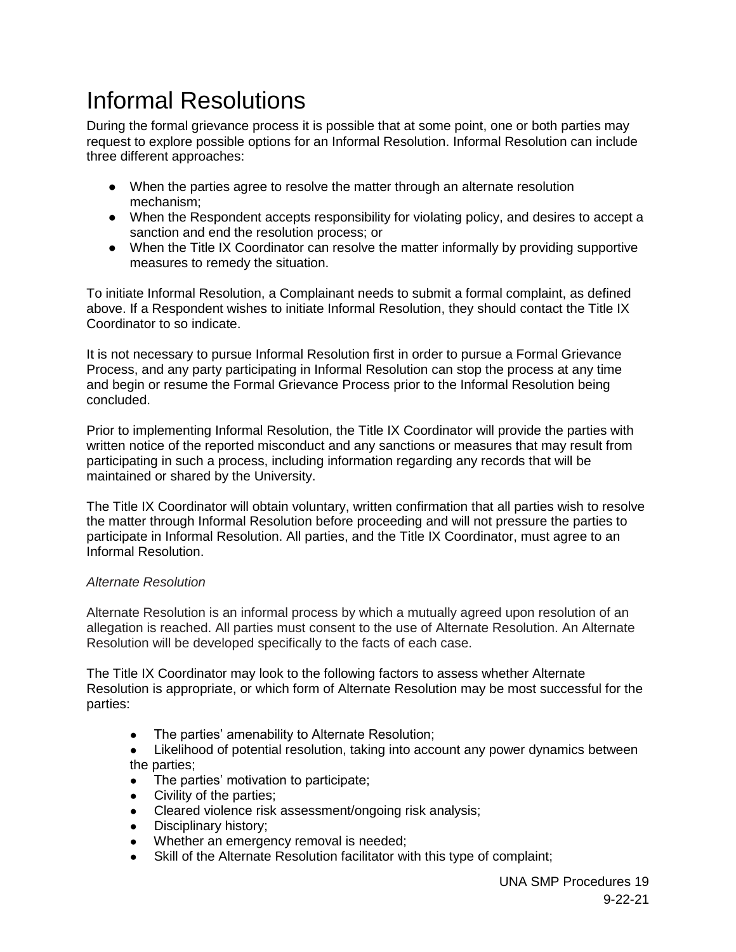## <span id="page-18-0"></span>Informal Resolutions

During the formal grievance process it is possible that at some point, one or both parties may request to explore possible options for an Informal Resolution. Informal Resolution can include three different approaches:

- When the parties agree to resolve the matter through an alternate resolution mechanism;
- When the Respondent accepts responsibility for violating policy, and desires to accept a sanction and end the resolution process; or
- When the Title IX Coordinator can resolve the matter informally by providing supportive measures to remedy the situation.

To initiate Informal Resolution, a Complainant needs to submit a formal complaint, as defined above. If a Respondent wishes to initiate Informal Resolution, they should contact the Title IX Coordinator to so indicate.

It is not necessary to pursue Informal Resolution first in order to pursue a Formal Grievance Process, and any party participating in Informal Resolution can stop the process at any time and begin or resume the Formal Grievance Process prior to the Informal Resolution being concluded.

Prior to implementing Informal Resolution, the Title IX Coordinator will provide the parties with written notice of the reported misconduct and any sanctions or measures that may result from participating in such a process, including information regarding any records that will be maintained or shared by the University.

The Title IX Coordinator will obtain voluntary, written confirmation that all parties wish to resolve the matter through Informal Resolution before proceeding and will not pressure the parties to participate in Informal Resolution. All parties, and the Title IX Coordinator, must agree to an Informal Resolution.

#### *Alternate Resolution*

Alternate Resolution is an informal process by which a mutually agreed upon resolution of an allegation is reached. All parties must consent to the use of Alternate Resolution. An Alternate Resolution will be developed specifically to the facts of each case.

The Title IX Coordinator may look to the following factors to assess whether Alternate Resolution is appropriate, or which form of Alternate Resolution may be most successful for the parties:

- The parties' amenability to Alternate Resolution;
- Likelihood of potential resolution, taking into account any power dynamics between the parties;
- The parties' motivation to participate;
- Civility of the parties:
- Cleared violence risk assessment/ongoing risk analysis;
- Disciplinary history;
- Whether an emergency removal is needed;
- Skill of the Alternate Resolution facilitator with this type of complaint;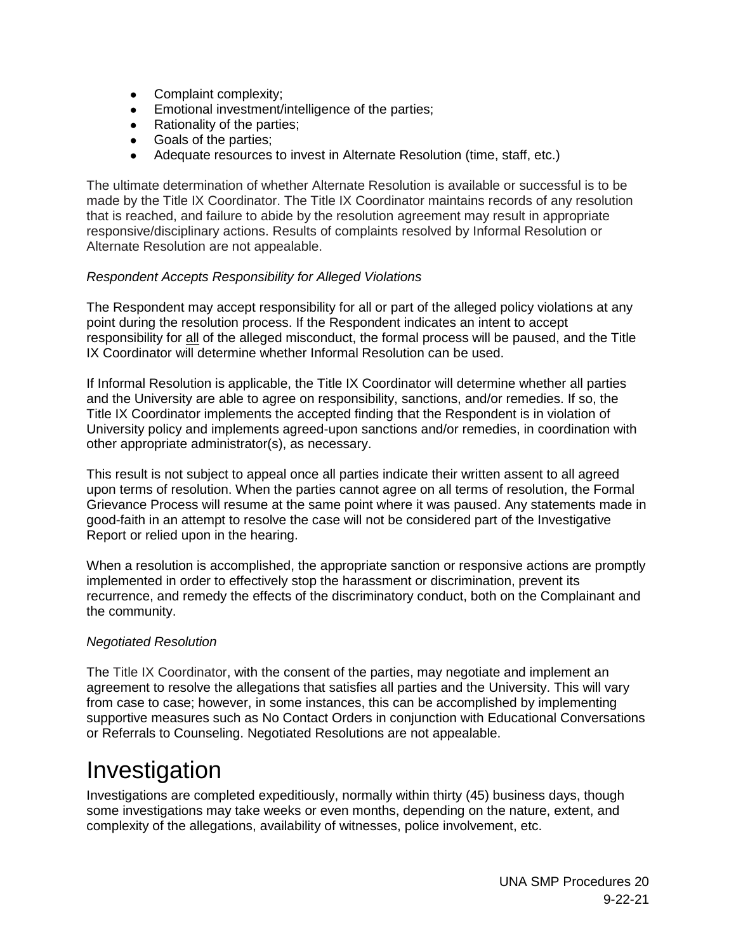- Complaint complexity;
- Emotional investment/intelligence of the parties;
- Rationality of the parties;
- Goals of the parties;
- Adequate resources to invest in Alternate Resolution (time, staff, etc.)

The ultimate determination of whether Alternate Resolution is available or successful is to be made by the Title IX Coordinator. The Title IX Coordinator maintains records of any resolution that is reached, and failure to abide by the resolution agreement may result in appropriate responsive/disciplinary actions. Results of complaints resolved by Informal Resolution or Alternate Resolution are not appealable.

#### *Respondent Accepts Responsibility for Alleged Violations*

The Respondent may accept responsibility for all or part of the alleged policy violations at any point during the resolution process. If the Respondent indicates an intent to accept responsibility for all of the alleged misconduct, the formal process will be paused, and the Title IX Coordinator will determine whether Informal Resolution can be used.

If Informal Resolution is applicable, the Title IX Coordinator will determine whether all parties and the University are able to agree on responsibility, sanctions, and/or remedies. If so, the Title IX Coordinator implements the accepted finding that the Respondent is in violation of University policy and implements agreed-upon sanctions and/or remedies, in coordination with other appropriate administrator(s), as necessary.

This result is not subject to appeal once all parties indicate their written assent to all agreed upon terms of resolution. When the parties cannot agree on all terms of resolution, the Formal Grievance Process will resume at the same point where it was paused. Any statements made in good-faith in an attempt to resolve the case will not be considered part of the Investigative Report or relied upon in the hearing.

When a resolution is accomplished, the appropriate sanction or responsive actions are promptly implemented in order to effectively stop the harassment or discrimination, prevent its recurrence, and remedy the effects of the discriminatory conduct, both on the Complainant and the community.

#### *Negotiated Resolution*

The Title IX Coordinator, with the consent of the parties, may negotiate and implement an agreement to resolve the allegations that satisfies all parties and the University. This will vary from case to case; however, in some instances, this can be accomplished by implementing supportive measures such as No Contact Orders in conjunction with Educational Conversations or Referrals to Counseling. Negotiated Resolutions are not appealable.

### <span id="page-19-0"></span>Investigation

Investigations are completed expeditiously, normally within thirty (45) business days, though some investigations may take weeks or even months, depending on the nature, extent, and complexity of the allegations, availability of witnesses, police involvement, etc.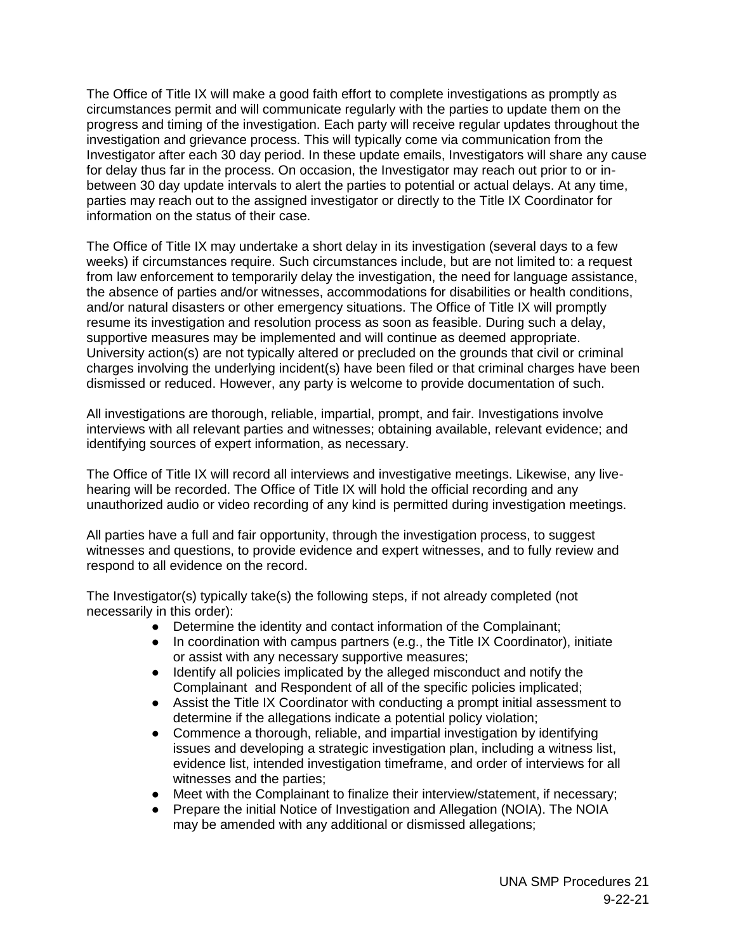The Office of Title IX will make a good faith effort to complete investigations as promptly as circumstances permit and will communicate regularly with the parties to update them on the progress and timing of the investigation. Each party will receive regular updates throughout the investigation and grievance process. This will typically come via communication from the Investigator after each 30 day period. In these update emails, Investigators will share any cause for delay thus far in the process. On occasion, the Investigator may reach out prior to or inbetween 30 day update intervals to alert the parties to potential or actual delays. At any time, parties may reach out to the assigned investigator or directly to the Title IX Coordinator for information on the status of their case.

The Office of Title IX may undertake a short delay in its investigation (several days to a few weeks) if circumstances require. Such circumstances include, but are not limited to: a request from law enforcement to temporarily delay the investigation, the need for language assistance, the absence of parties and/or witnesses, accommodations for disabilities or health conditions, and/or natural disasters or other emergency situations. The Office of Title IX will promptly resume its investigation and resolution process as soon as feasible. During such a delay, supportive measures may be implemented and will continue as deemed appropriate. University action(s) are not typically altered or precluded on the grounds that civil or criminal charges involving the underlying incident(s) have been filed or that criminal charges have been dismissed or reduced. However, any party is welcome to provide documentation of such.

All investigations are thorough, reliable, impartial, prompt, and fair. Investigations involve interviews with all relevant parties and witnesses; obtaining available, relevant evidence; and identifying sources of expert information, as necessary.

The Office of Title IX will record all interviews and investigative meetings. Likewise, any livehearing will be recorded. The Office of Title IX will hold the official recording and any unauthorized audio or video recording of any kind is permitted during investigation meetings.

All parties have a full and fair opportunity, through the investigation process, to suggest witnesses and questions, to provide evidence and expert witnesses, and to fully review and respond to all evidence on the record.

The Investigator(s) typically take(s) the following steps, if not already completed (not necessarily in this order):

- Determine the identity and contact information of the Complainant;
- In coordination with campus partners (e.g., the Title IX Coordinator), initiate or assist with any necessary supportive measures;
- Identify all policies implicated by the alleged misconduct and notify the Complainant and Respondent of all of the specific policies implicated;
- Assist the Title IX Coordinator with conducting a prompt initial assessment to determine if the allegations indicate a potential policy violation;
- Commence a thorough, reliable, and impartial investigation by identifying issues and developing a strategic investigation plan, including a witness list, evidence list, intended investigation timeframe, and order of interviews for all witnesses and the parties;
- Meet with the Complainant to finalize their interview/statement, if necessary;
- Prepare the initial Notice of Investigation and Allegation (NOIA). The NOIA may be amended with any additional or dismissed allegations;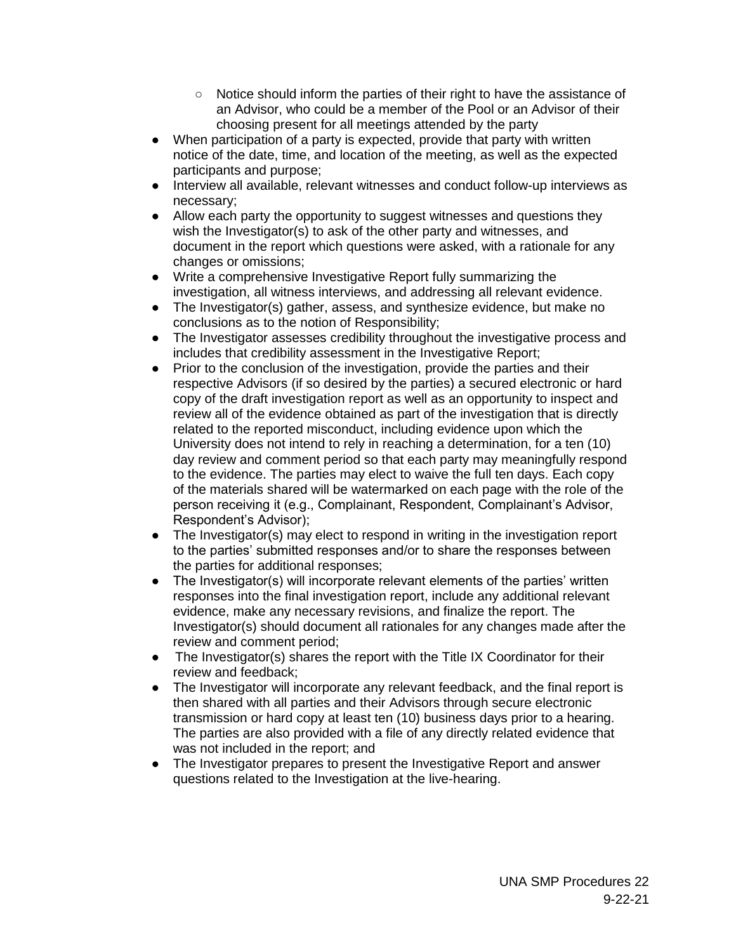- Notice should inform the parties of their right to have the assistance of an Advisor, who could be a member of the Pool or an Advisor of their choosing present for all meetings attended by the party
- When participation of a party is expected, provide that party with written notice of the date, time, and location of the meeting, as well as the expected participants and purpose;
- Interview all available, relevant witnesses and conduct follow-up interviews as necessary;
- Allow each party the opportunity to suggest witnesses and questions they wish the Investigator(s) to ask of the other party and witnesses, and document in the report which questions were asked, with a rationale for any changes or omissions;
- Write a comprehensive Investigative Report fully summarizing the investigation, all witness interviews, and addressing all relevant evidence.
- The Investigator(s) gather, assess, and synthesize evidence, but make no conclusions as to the notion of Responsibility;
- The Investigator assesses credibility throughout the investigative process and includes that credibility assessment in the Investigative Report;
- Prior to the conclusion of the investigation, provide the parties and their respective Advisors (if so desired by the parties) a secured electronic or hard copy of the draft investigation report as well as an opportunity to inspect and review all of the evidence obtained as part of the investigation that is directly related to the reported misconduct, including evidence upon which the University does not intend to rely in reaching a determination, for a ten (10) day review and comment period so that each party may meaningfully respond to the evidence. The parties may elect to waive the full ten days. Each copy of the materials shared will be watermarked on each page with the role of the person receiving it (e.g., Complainant, Respondent, Complainant's Advisor, Respondent's Advisor);
- The Investigator(s) may elect to respond in writing in the investigation report to the parties' submitted responses and/or to share the responses between the parties for additional responses;
- The Investigator(s) will incorporate relevant elements of the parties' written responses into the final investigation report, include any additional relevant evidence, make any necessary revisions, and finalize the report. The Investigator(s) should document all rationales for any changes made after the review and comment period;
- The Investigator(s) shares the report with the Title IX Coordinator for their review and feedback;
- The Investigator will incorporate any relevant feedback, and the final report is then shared with all parties and their Advisors through secure electronic transmission or hard copy at least ten (10) business days prior to a hearing. The parties are also provided with a file of any directly related evidence that was not included in the report; and
- The Investigator prepares to present the Investigative Report and answer questions related to the Investigation at the live-hearing.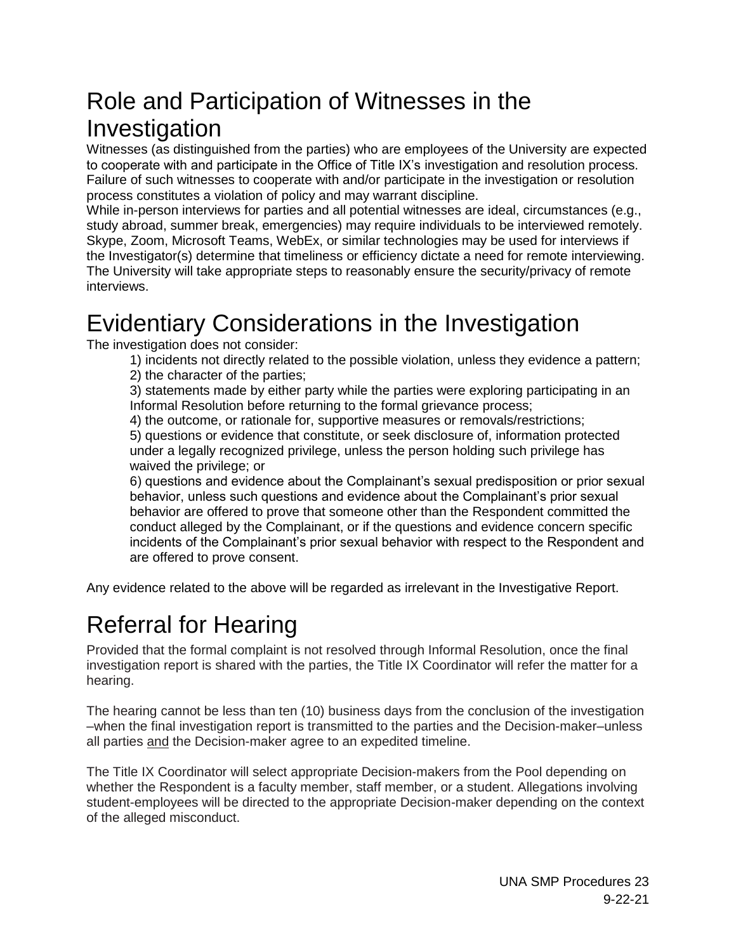### Role and Participation of Witnesses in the Investigation

Witnesses (as distinguished from the parties) who are employees of the University are expected to cooperate with and participate in the Office of Title IX's investigation and resolution process. Failure of such witnesses to cooperate with and/or participate in the investigation or resolution process constitutes a violation of policy and may warrant discipline.

While in-person interviews for parties and all potential witnesses are ideal, circumstances (e.g., study abroad, summer break, emergencies) may require individuals to be interviewed remotely. Skype, Zoom, Microsoft Teams, WebEx, or similar technologies may be used for interviews if the Investigator(s) determine that timeliness or efficiency dictate a need for remote interviewing. The University will take appropriate steps to reasonably ensure the security/privacy of remote interviews.

### Evidentiary Considerations in the Investigation

The investigation does not consider:

1) incidents not directly related to the possible violation, unless they evidence a pattern; 2) the character of the parties;

3) statements made by either party while the parties were exploring participating in an Informal Resolution before returning to the formal grievance process;

4) the outcome, or rationale for, supportive measures or removals/restrictions;

5) questions or evidence that constitute, or seek disclosure of, information protected under a legally recognized privilege, unless the person holding such privilege has waived the privilege; or

6) questions and evidence about the Complainant's sexual predisposition or prior sexual behavior, unless such questions and evidence about the Complainant's prior sexual behavior are offered to prove that someone other than the Respondent committed the conduct alleged by the Complainant, or if the questions and evidence concern specific incidents of the Complainant's prior sexual behavior with respect to the Respondent and are offered to prove consent.

Any evidence related to the above will be regarded as irrelevant in the Investigative Report.

### <span id="page-22-0"></span>Referral for Hearing

Provided that the formal complaint is not resolved through Informal Resolution, once the final investigation report is shared with the parties, the Title IX Coordinator will refer the matter for a hearing.

The hearing cannot be less than ten (10) business days from the conclusion of the investigation –when the final investigation report is transmitted to the parties and the Decision-maker–unless all parties and the Decision-maker agree to an expedited timeline.

The Title IX Coordinator will select appropriate Decision-makers from the Pool depending on whether the Respondent is a faculty member, staff member, or a student. Allegations involving student-employees will be directed to the appropriate Decision-maker depending on the context of the alleged misconduct.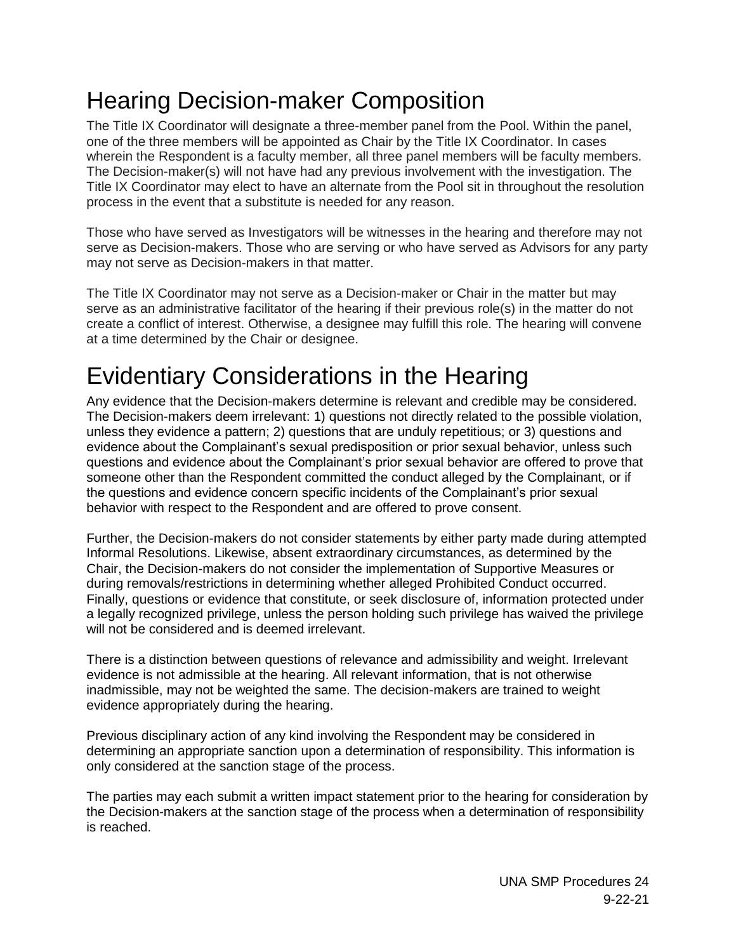## <span id="page-23-0"></span>Hearing Decision-maker Composition

The Title IX Coordinator will designate a three-member panel from the Pool. Within the panel, one of the three members will be appointed as Chair by the Title IX Coordinator. In cases wherein the Respondent is a faculty member, all three panel members will be faculty members. The Decision-maker(s) will not have had any previous involvement with the investigation. The Title IX Coordinator may elect to have an alternate from the Pool sit in throughout the resolution process in the event that a substitute is needed for any reason.

Those who have served as Investigators will be witnesses in the hearing and therefore may not serve as Decision-makers. Those who are serving or who have served as Advisors for any party may not serve as Decision-makers in that matter.

The Title IX Coordinator may not serve as a Decision-maker or Chair in the matter but may serve as an administrative facilitator of the hearing if their previous role(s) in the matter do not create a conflict of interest. Otherwise, a designee may fulfill this role. The hearing will convene at a time determined by the Chair or designee.

### <span id="page-23-1"></span>Evidentiary Considerations in the Hearing

Any evidence that the Decision-makers determine is relevant and credible may be considered. The Decision-makers deem irrelevant: 1) questions not directly related to the possible violation, unless they evidence a pattern; 2) questions that are unduly repetitious; or 3) questions and evidence about the Complainant's sexual predisposition or prior sexual behavior, unless such questions and evidence about the Complainant's prior sexual behavior are offered to prove that someone other than the Respondent committed the conduct alleged by the Complainant, or if the questions and evidence concern specific incidents of the Complainant's prior sexual behavior with respect to the Respondent and are offered to prove consent.

Further, the Decision-makers do not consider statements by either party made during attempted Informal Resolutions. Likewise, absent extraordinary circumstances, as determined by the Chair, the Decision-makers do not consider the implementation of Supportive Measures or during removals/restrictions in determining whether alleged Prohibited Conduct occurred. Finally, questions or evidence that constitute, or seek disclosure of, information protected under a legally recognized privilege, unless the person holding such privilege has waived the privilege will not be considered and is deemed irrelevant.

There is a distinction between questions of relevance and admissibility and weight. Irrelevant evidence is not admissible at the hearing. All relevant information, that is not otherwise inadmissible, may not be weighted the same. The decision-makers are trained to weight evidence appropriately during the hearing.

Previous disciplinary action of any kind involving the Respondent may be considered in determining an appropriate sanction upon a determination of responsibility. This information is only considered at the sanction stage of the process.

The parties may each submit a written impact statement prior to the hearing for consideration by the Decision-makers at the sanction stage of the process when a determination of responsibility is reached.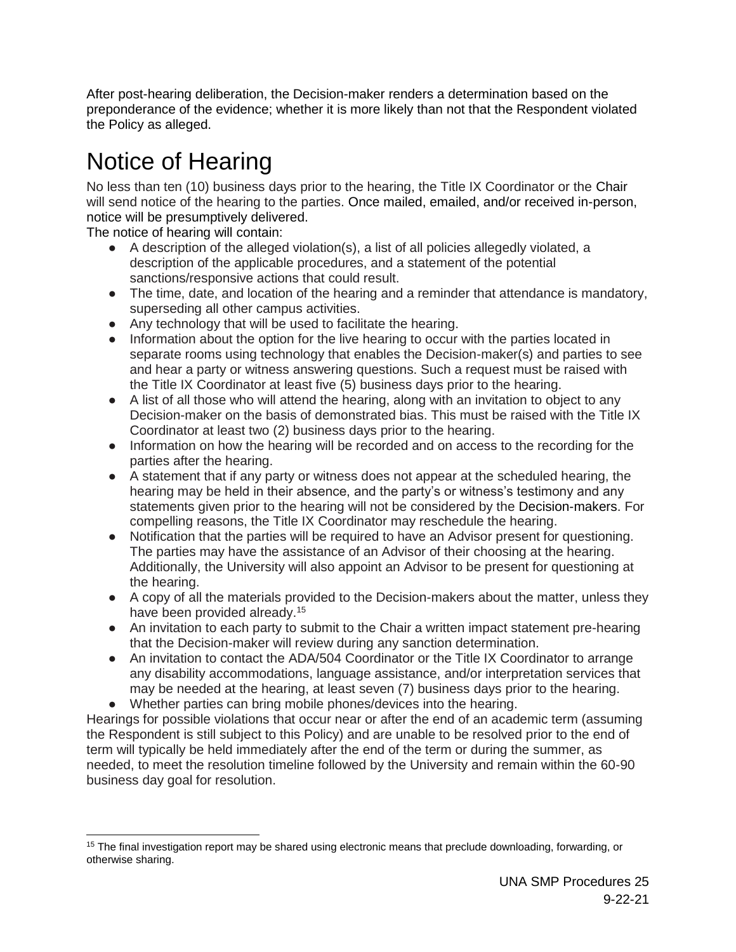After post-hearing deliberation, the Decision-maker renders a determination based on the preponderance of the evidence; whether it is more likely than not that the Respondent violated the Policy as alleged.

## <span id="page-24-0"></span>Notice of Hearing

No less than ten (10) business days prior to the hearing, the Title IX Coordinator or the Chair will send notice of the hearing to the parties. Once mailed, emailed, and/or received in-person, notice will be presumptively delivered.

The notice of hearing will contain:

- A description of the alleged violation(s), a list of all policies allegedly violated, a description of the applicable procedures, and a statement of the potential sanctions/responsive actions that could result.
- The time, date, and location of the hearing and a reminder that attendance is mandatory, superseding all other campus activities.
- Any technology that will be used to facilitate the hearing.
- Information about the option for the live hearing to occur with the parties located in separate rooms using technology that enables the Decision-maker(s) and parties to see and hear a party or witness answering questions. Such a request must be raised with the Title IX Coordinator at least five (5) business days prior to the hearing.
- A list of all those who will attend the hearing, along with an invitation to object to any Decision-maker on the basis of demonstrated bias. This must be raised with the Title IX Coordinator at least two (2) business days prior to the hearing.
- Information on how the hearing will be recorded and on access to the recording for the parties after the hearing.
- A statement that if any party or witness does not appear at the scheduled hearing, the hearing may be held in their absence, and the party's or witness's testimony and any statements given prior to the hearing will not be considered by the Decision-makers. For compelling reasons, the Title IX Coordinator may reschedule the hearing.
- Notification that the parties will be required to have an Advisor present for questioning. The parties may have the assistance of an Advisor of their choosing at the hearing. Additionally, the University will also appoint an Advisor to be present for questioning at the hearing.
- A copy of all the materials provided to the Decision-makers about the matter, unless they have been provided already.<sup>15</sup>
- An invitation to each party to submit to the Chair a written impact statement pre-hearing that the Decision-maker will review during any sanction determination.
- An invitation to contact the ADA/504 Coordinator or the Title IX Coordinator to arrange any disability accommodations, language assistance, and/or interpretation services that may be needed at the hearing, at least seven (7) business days prior to the hearing.
- Whether parties can bring mobile phones/devices into the hearing.

Hearings for possible violations that occur near or after the end of an academic term (assuming the Respondent is still subject to this Policy) and are unable to be resolved prior to the end of term will typically be held immediately after the end of the term or during the summer, as needed, to meet the resolution timeline followed by the University and remain within the 60-90 business day goal for resolution.

 $\overline{a}$ <sup>15</sup> The final investigation report may be shared using electronic means that preclude downloading, forwarding, or otherwise sharing.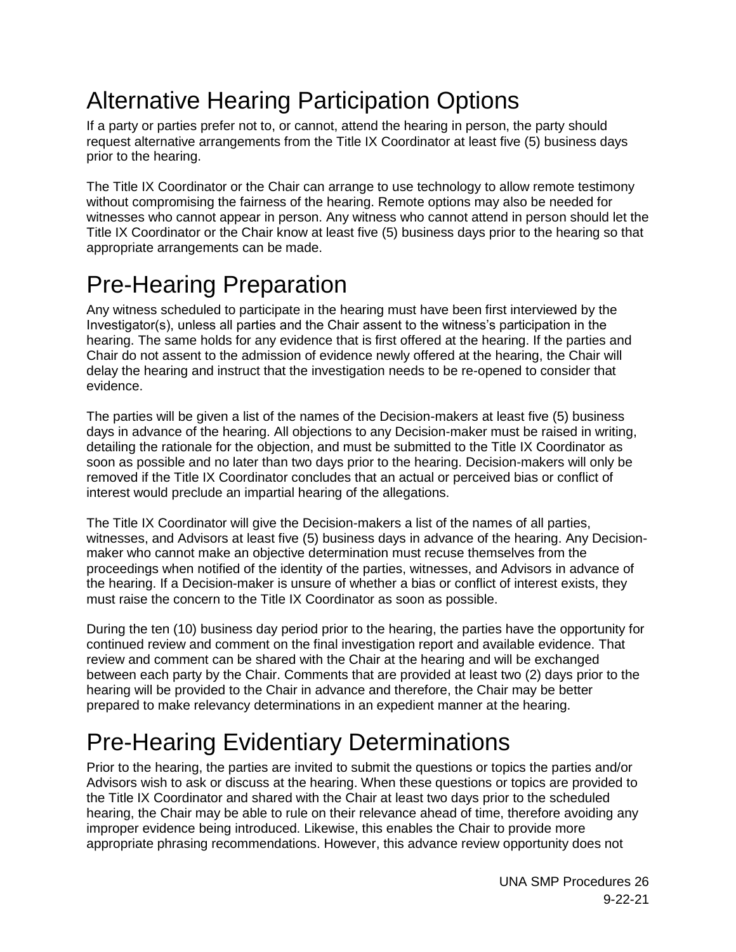## <span id="page-25-0"></span>Alternative Hearing Participation Options

If a party or parties prefer not to, or cannot, attend the hearing in person, the party should request alternative arrangements from the Title IX Coordinator at least five (5) business days prior to the hearing.

The Title IX Coordinator or the Chair can arrange to use technology to allow remote testimony without compromising the fairness of the hearing. Remote options may also be needed for witnesses who cannot appear in person. Any witness who cannot attend in person should let the Title IX Coordinator or the Chair know at least five (5) business days prior to the hearing so that appropriate arrangements can be made.

## <span id="page-25-1"></span>Pre-Hearing Preparation

Any witness scheduled to participate in the hearing must have been first interviewed by the Investigator(s), unless all parties and the Chair assent to the witness's participation in the hearing. The same holds for any evidence that is first offered at the hearing. If the parties and Chair do not assent to the admission of evidence newly offered at the hearing, the Chair will delay the hearing and instruct that the investigation needs to be re-opened to consider that evidence.

The parties will be given a list of the names of the Decision-makers at least five (5) business days in advance of the hearing. All objections to any Decision-maker must be raised in writing, detailing the rationale for the objection, and must be submitted to the Title IX Coordinator as soon as possible and no later than two days prior to the hearing. Decision-makers will only be removed if the Title IX Coordinator concludes that an actual or perceived bias or conflict of interest would preclude an impartial hearing of the allegations.

The Title IX Coordinator will give the Decision-makers a list of the names of all parties, witnesses, and Advisors at least five (5) business days in advance of the hearing. Any Decisionmaker who cannot make an objective determination must recuse themselves from the proceedings when notified of the identity of the parties, witnesses, and Advisors in advance of the hearing. If a Decision-maker is unsure of whether a bias or conflict of interest exists, they must raise the concern to the Title IX Coordinator as soon as possible.

During the ten (10) business day period prior to the hearing, the parties have the opportunity for continued review and comment on the final investigation report and available evidence. That review and comment can be shared with the Chair at the hearing and will be exchanged between each party by the Chair. Comments that are provided at least two (2) days prior to the hearing will be provided to the Chair in advance and therefore, the Chair may be better prepared to make relevancy determinations in an expedient manner at the hearing.

## <span id="page-25-2"></span>Pre-Hearing Evidentiary Determinations

Prior to the hearing, the parties are invited to submit the questions or topics the parties and/or Advisors wish to ask or discuss at the hearing. When these questions or topics are provided to the Title IX Coordinator and shared with the Chair at least two days prior to the scheduled hearing, the Chair may be able to rule on their relevance ahead of time, therefore avoiding any improper evidence being introduced. Likewise, this enables the Chair to provide more appropriate phrasing recommendations. However, this advance review opportunity does not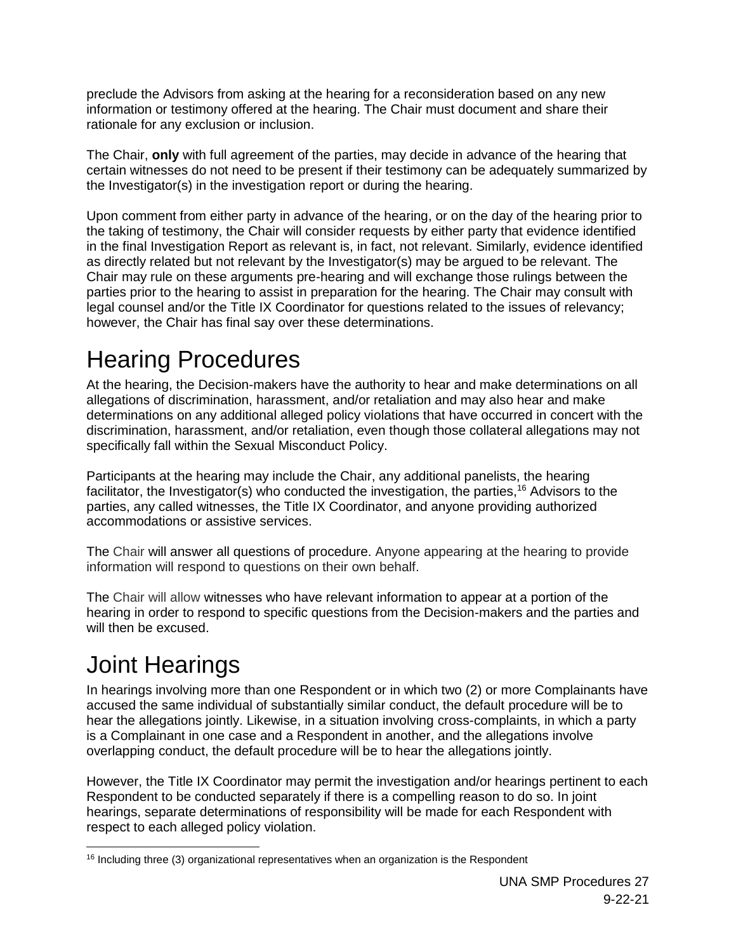preclude the Advisors from asking at the hearing for a reconsideration based on any new information or testimony offered at the hearing. The Chair must document and share their rationale for any exclusion or inclusion.

The Chair, **only** with full agreement of the parties, may decide in advance of the hearing that certain witnesses do not need to be present if their testimony can be adequately summarized by the Investigator(s) in the investigation report or during the hearing.

Upon comment from either party in advance of the hearing, or on the day of the hearing prior to the taking of testimony, the Chair will consider requests by either party that evidence identified in the final Investigation Report as relevant is, in fact, not relevant. Similarly, evidence identified as directly related but not relevant by the Investigator(s) may be argued to be relevant. The Chair may rule on these arguments pre-hearing and will exchange those rulings between the parties prior to the hearing to assist in preparation for the hearing. The Chair may consult with legal counsel and/or the Title IX Coordinator for questions related to the issues of relevancy; however, the Chair has final say over these determinations.

## <span id="page-26-0"></span>Hearing Procedures

At the hearing, the Decision-makers have the authority to hear and make determinations on all allegations of discrimination, harassment, and/or retaliation and may also hear and make determinations on any additional alleged policy violations that have occurred in concert with the discrimination, harassment, and/or retaliation, even though those collateral allegations may not specifically fall within the Sexual Misconduct Policy.

Participants at the hearing may include the Chair, any additional panelists, the hearing facilitator, the Investigator(s) who conducted the investigation, the parties,<sup>16</sup> Advisors to the parties, any called witnesses, the Title IX Coordinator, and anyone providing authorized accommodations or assistive services.

The Chair will answer all questions of procedure. Anyone appearing at the hearing to provide information will respond to questions on their own behalf.

The Chair will allow witnesses who have relevant information to appear at a portion of the hearing in order to respond to specific questions from the Decision-makers and the parties and will then be excused.

## <span id="page-26-1"></span>Joint Hearings

In hearings involving more than one Respondent or in which two (2) or more Complainants have accused the same individual of substantially similar conduct, the default procedure will be to hear the allegations jointly. Likewise, in a situation involving cross-complaints, in which a party is a Complainant in one case and a Respondent in another, and the allegations involve overlapping conduct, the default procedure will be to hear the allegations jointly.

However, the Title IX Coordinator may permit the investigation and/or hearings pertinent to each Respondent to be conducted separately if there is a compelling reason to do so. In joint hearings, separate determinations of responsibility will be made for each Respondent with respect to each alleged policy violation.

 $16$  Including three (3) organizational representatives when an organization is the Respondent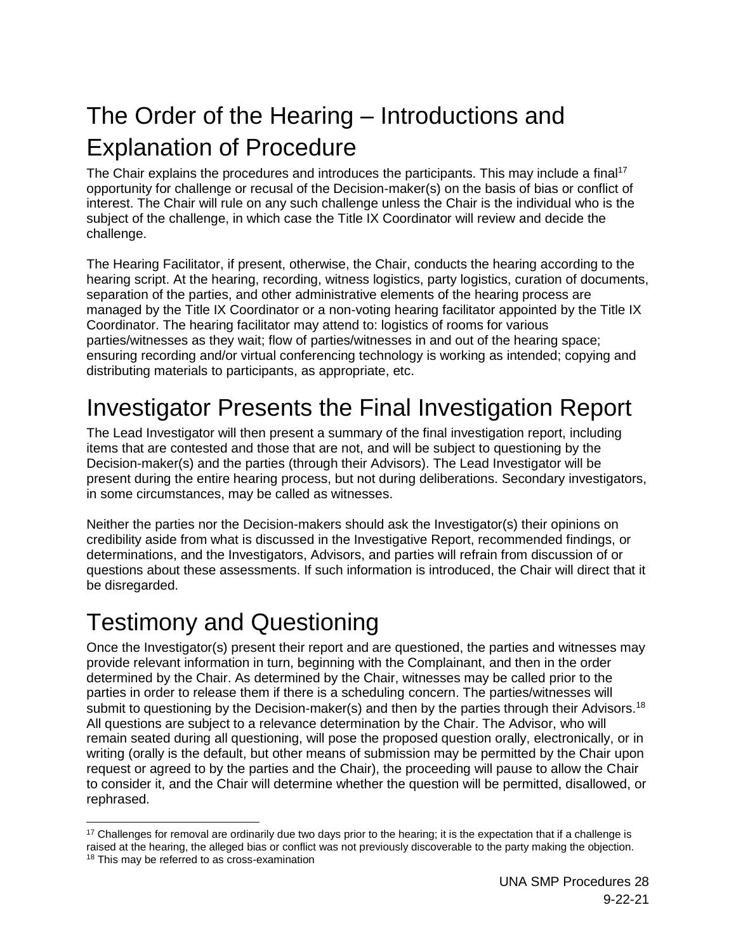## <span id="page-27-0"></span>The Order of the Hearing – Introductions and Explanation of Procedure

The Chair explains the procedures and introduces the participants. This may include a final<sup>17</sup> opportunity for challenge or recusal of the Decision-maker(s) on the basis of bias or conflict of interest. The Chair will rule on any such challenge unless the Chair is the individual who is the subject of the challenge, in which case the Title IX Coordinator will review and decide the challenge.

The Hearing Facilitator, if present, otherwise, the Chair, conducts the hearing according to the hearing script. At the hearing, recording, witness logistics, party logistics, curation of documents, separation of the parties, and other administrative elements of the hearing process are managed by the Title IX Coordinator or a non-voting hearing facilitator appointed by the Title IX Coordinator. The hearing facilitator may attend to: logistics of rooms for various parties/witnesses as they wait; flow of parties/witnesses in and out of the hearing space; ensuring recording and/or virtual conferencing technology is working as intended; copying and distributing materials to participants, as appropriate, etc.

### <span id="page-27-1"></span>Investigator Presents the Final Investigation Report

The Lead Investigator will then present a summary of the final investigation report, including items that are contested and those that are not, and will be subject to questioning by the Decision-maker(s) and the parties (through their Advisors). The Lead Investigator will be present during the entire hearing process, but not during deliberations. Secondary investigators, in some circumstances, may be called as witnesses.

Neither the parties nor the Decision-makers should ask the Investigator(s) their opinions on credibility aside from what is discussed in the Investigative Report, recommended findings, or determinations, and the Investigators, Advisors, and parties will refrain from discussion of or questions about these assessments. If such information is introduced, the Chair will direct that it be disregarded.

### <span id="page-27-2"></span>Testimony and Questioning

Once the Investigator(s) present their report and are questioned, the parties and witnesses may provide relevant information in turn, beginning with the Complainant, and then in the order determined by the Chair. As determined by the Chair, witnesses may be called prior to the parties in order to release them if there is a scheduling concern. The parties/witnesses will submit to questioning by the Decision-maker(s) and then by the parties through their Advisors.<sup>18</sup> All questions are subject to a relevance determination by the Chair. The Advisor, who will remain seated during all questioning, will pose the proposed question orally, electronically, or in writing (orally is the default, but other means of submission may be permitted by the Chair upon request or agreed to by the parties and the Chair), the proceeding will pause to allow the Chair to consider it, and the Chair will determine whether the question will be permitted, disallowed, or rephrased.

  $17$  Challenges for removal are ordinarily due two days prior to the hearing; it is the expectation that if a challenge is raised at the hearing, the alleged bias or conflict was not previously discoverable to the party making the objection. <sup>18</sup> This may be referred to as cross-examination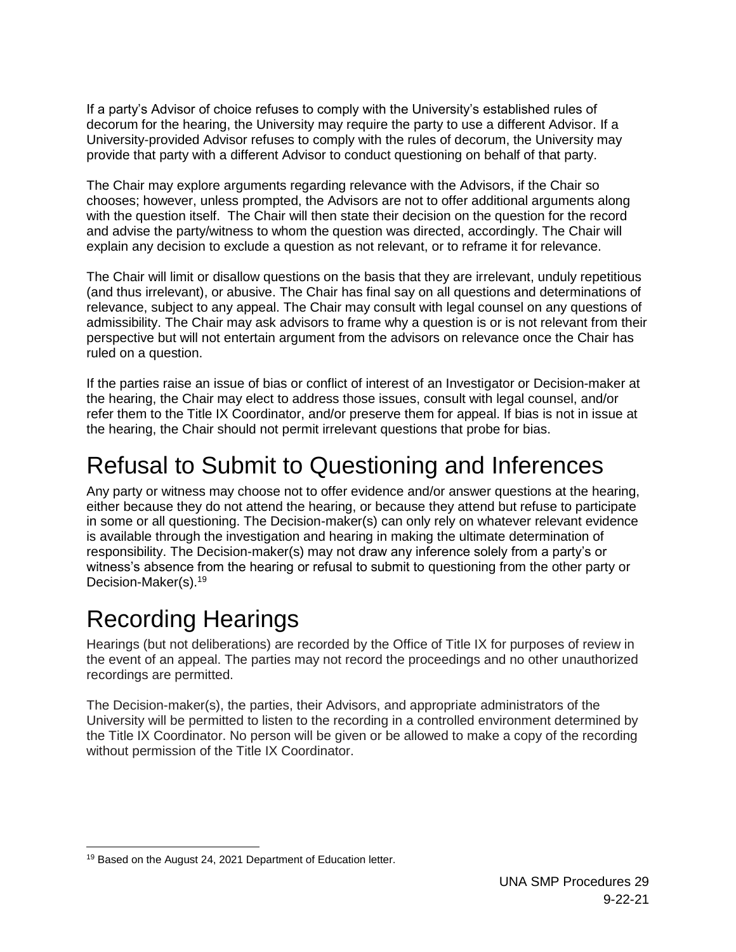If a party's Advisor of choice refuses to comply with the University's established rules of decorum for the hearing, the University may require the party to use a different Advisor. If a University-provided Advisor refuses to comply with the rules of decorum, the University may provide that party with a different Advisor to conduct questioning on behalf of that party.

The Chair may explore arguments regarding relevance with the Advisors, if the Chair so chooses; however, unless prompted, the Advisors are not to offer additional arguments along with the question itself. The Chair will then state their decision on the question for the record and advise the party/witness to whom the question was directed, accordingly. The Chair will explain any decision to exclude a question as not relevant, or to reframe it for relevance.

The Chair will limit or disallow questions on the basis that they are irrelevant, unduly repetitious (and thus irrelevant), or abusive. The Chair has final say on all questions and determinations of relevance, subject to any appeal. The Chair may consult with legal counsel on any questions of admissibility. The Chair may ask advisors to frame why a question is or is not relevant from their perspective but will not entertain argument from the advisors on relevance once the Chair has ruled on a question.

If the parties raise an issue of bias or conflict of interest of an Investigator or Decision-maker at the hearing, the Chair may elect to address those issues, consult with legal counsel, and/or refer them to the Title IX Coordinator, and/or preserve them for appeal. If bias is not in issue at the hearing, the Chair should not permit irrelevant questions that probe for bias.

### <span id="page-28-0"></span>Refusal to Submit to Questioning and Inferences

Any party or witness may choose not to offer evidence and/or answer questions at the hearing, either because they do not attend the hearing, or because they attend but refuse to participate in some or all questioning. The Decision-maker(s) can only rely on whatever relevant evidence is available through the investigation and hearing in making the ultimate determination of responsibility. The Decision-maker(s) may not draw any inference solely from a party's or witness's absence from the hearing or refusal to submit to questioning from the other party or Decision-Maker(s). 19

### <span id="page-28-1"></span>Recording Hearings

Hearings (but not deliberations) are recorded by the Office of Title IX for purposes of review in the event of an appeal. The parties may not record the proceedings and no other unauthorized recordings are permitted.

The Decision-maker(s), the parties, their Advisors, and appropriate administrators of the University will be permitted to listen to the recording in a controlled environment determined by the Title IX Coordinator. No person will be given or be allowed to make a copy of the recording without permission of the Title IX Coordinator.

 <sup>19</sup> Based on the August 24, 2021 Department of Education letter.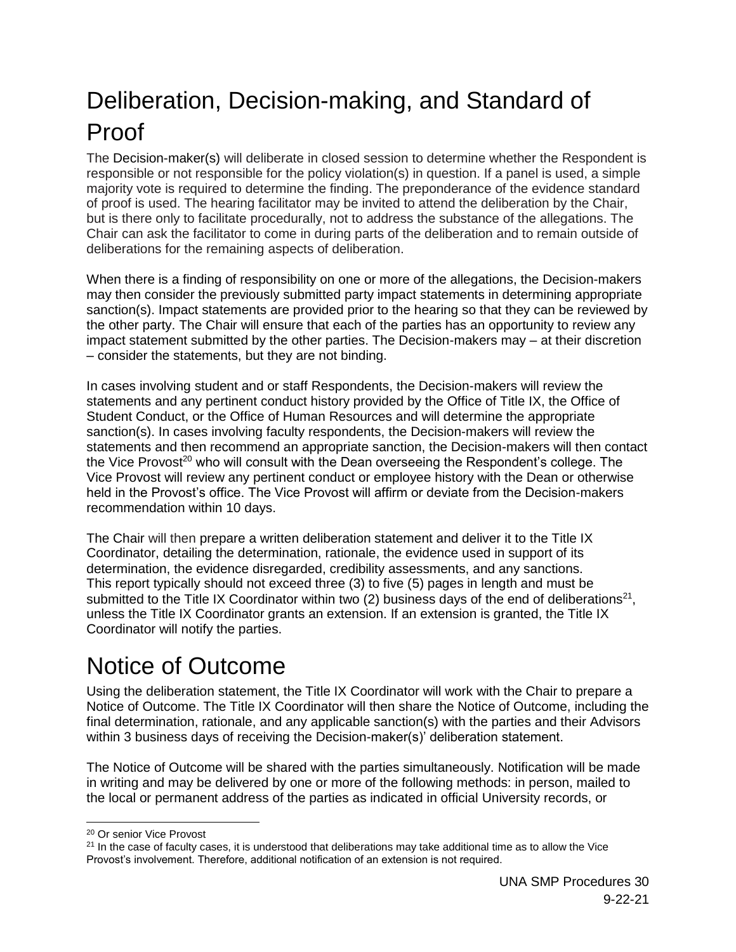## <span id="page-29-0"></span>Deliberation, Decision-making, and Standard of Proof

The Decision-maker(s) will deliberate in closed session to determine whether the Respondent is responsible or not responsible for the policy violation(s) in question. If a panel is used, a simple majority vote is required to determine the finding. The preponderance of the evidence standard of proof is used. The hearing facilitator may be invited to attend the deliberation by the Chair, but is there only to facilitate procedurally, not to address the substance of the allegations. The Chair can ask the facilitator to come in during parts of the deliberation and to remain outside of deliberations for the remaining aspects of deliberation.

When there is a finding of responsibility on one or more of the allegations, the Decision-makers may then consider the previously submitted party impact statements in determining appropriate sanction(s). Impact statements are provided prior to the hearing so that they can be reviewed by the other party. The Chair will ensure that each of the parties has an opportunity to review any impact statement submitted by the other parties. The Decision-makers may – at their discretion – consider the statements, but they are not binding.

In cases involving student and or staff Respondents, the Decision-makers will review the statements and any pertinent conduct history provided by the Office of Title IX, the Office of Student Conduct, or the Office of Human Resources and will determine the appropriate sanction(s). In cases involving faculty respondents, the Decision-makers will review the statements and then recommend an appropriate sanction, the Decision-makers will then contact the Vice Provost<sup>20</sup> who will consult with the Dean overseeing the Respondent's college. The Vice Provost will review any pertinent conduct or employee history with the Dean or otherwise held in the Provost's office. The Vice Provost will affirm or deviate from the Decision-makers recommendation within 10 days.

The Chair will then prepare a written deliberation statement and deliver it to the Title IX Coordinator, detailing the determination, rationale, the evidence used in support of its determination, the evidence disregarded, credibility assessments, and any sanctions. This report typically should not exceed three (3) to five (5) pages in length and must be submitted to the Title IX Coordinator within two (2) business days of the end of deliberations<sup>21</sup>, unless the Title IX Coordinator grants an extension. If an extension is granted, the Title IX Coordinator will notify the parties.

## <span id="page-29-1"></span>Notice of Outcome

Using the deliberation statement, the Title IX Coordinator will work with the Chair to prepare a Notice of Outcome. The Title IX Coordinator will then share the Notice of Outcome, including the final determination, rationale, and any applicable sanction(s) with the parties and their Advisors within 3 business days of receiving the Decision-maker(s)' deliberation statement.

The Notice of Outcome will be shared with the parties simultaneously. Notification will be made in writing and may be delivered by one or more of the following methods: in person, mailed to the local or permanent address of the parties as indicated in official University records, or

<sup>20</sup> Or senior Vice Provost

 $21$  In the case of faculty cases, it is understood that deliberations may take additional time as to allow the Vice Provost's involvement. Therefore, additional notification of an extension is not required.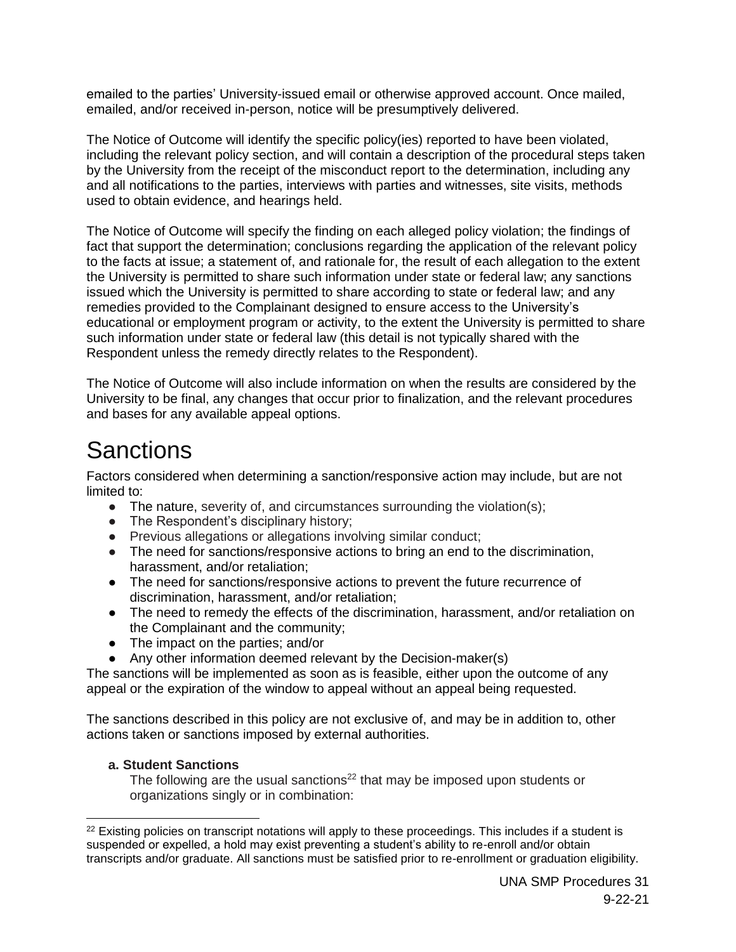emailed to the parties' University-issued email or otherwise approved account. Once mailed, emailed, and/or received in-person, notice will be presumptively delivered.

The Notice of Outcome will identify the specific policy(ies) reported to have been violated, including the relevant policy section, and will contain a description of the procedural steps taken by the University from the receipt of the misconduct report to the determination, including any and all notifications to the parties, interviews with parties and witnesses, site visits, methods used to obtain evidence, and hearings held.

The Notice of Outcome will specify the finding on each alleged policy violation; the findings of fact that support the determination; conclusions regarding the application of the relevant policy to the facts at issue; a statement of, and rationale for, the result of each allegation to the extent the University is permitted to share such information under state or federal law; any sanctions issued which the University is permitted to share according to state or federal law; and any remedies provided to the Complainant designed to ensure access to the University's educational or employment program or activity, to the extent the University is permitted to share such information under state or federal law (this detail is not typically shared with the Respondent unless the remedy directly relates to the Respondent).

The Notice of Outcome will also include information on when the results are considered by the University to be final, any changes that occur prior to finalization, and the relevant procedures and bases for any available appeal options.

### <span id="page-30-0"></span>**Sanctions**

Factors considered when determining a sanction/responsive action may include, but are not limited to:

- The nature, severity of, and circumstances surrounding the violation(s);
- The Respondent's disciplinary history;
- Previous allegations or allegations involving similar conduct;
- The need for sanctions/responsive actions to bring an end to the discrimination, harassment, and/or retaliation;
- The need for sanctions/responsive actions to prevent the future recurrence of discrimination, harassment, and/or retaliation;
- The need to remedy the effects of the discrimination, harassment, and/or retaliation on the Complainant and the community;
- The impact on the parties; and/or
- Any other information deemed relevant by the Decision-maker(s)

The sanctions will be implemented as soon as is feasible, either upon the outcome of any appeal or the expiration of the window to appeal without an appeal being requested.

The sanctions described in this policy are not exclusive of, and may be in addition to, other actions taken or sanctions imposed by external authorities.

#### **a. Student Sanctions**

The following are the usual sanctions<sup>22</sup> that may be imposed upon students or organizations singly or in combination:

 $22$  Existing policies on transcript notations will apply to these proceedings. This includes if a student is suspended or expelled, a hold may exist preventing a student's ability to re-enroll and/or obtain transcripts and/or graduate. All sanctions must be satisfied prior to re-enrollment or graduation eligibility.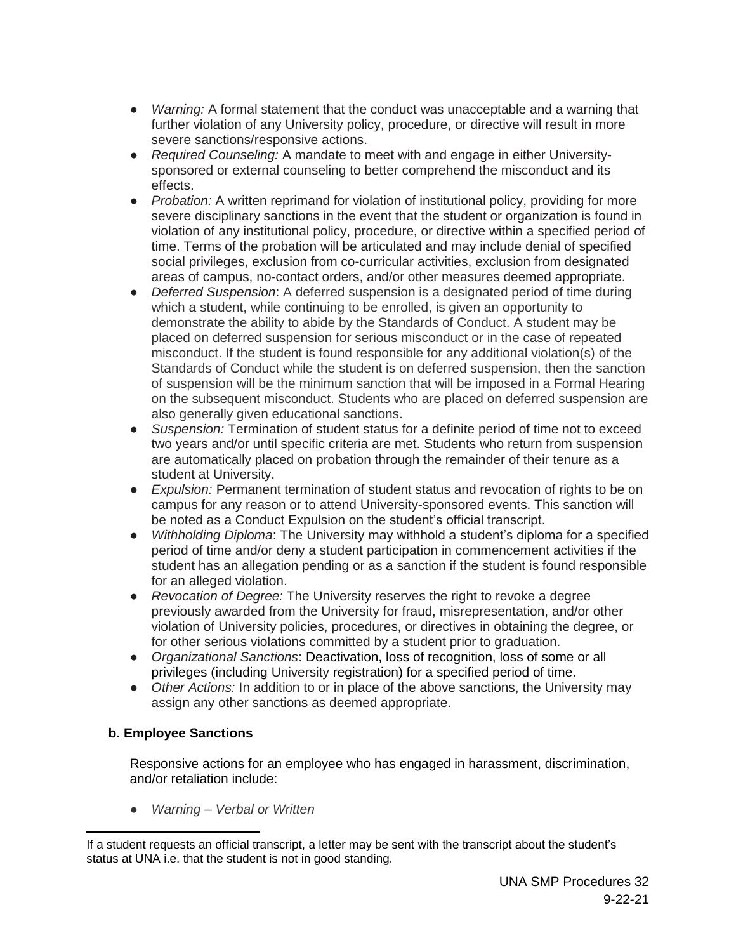- *Warning:* A formal statement that the conduct was unacceptable and a warning that further violation of any University policy, procedure, or directive will result in more severe sanctions/responsive actions.
- *Required Counseling:* A mandate to meet with and engage in either Universitysponsored or external counseling to better comprehend the misconduct and its effects.
- *Probation:* A written reprimand for violation of institutional policy, providing for more severe disciplinary sanctions in the event that the student or organization is found in violation of any institutional policy, procedure, or directive within a specified period of time. Terms of the probation will be articulated and may include denial of specified social privileges, exclusion from co-curricular activities, exclusion from designated areas of campus, no-contact orders, and/or other measures deemed appropriate.
- *Deferred Suspension*: A deferred suspension is a designated period of time during which a student, while continuing to be enrolled, is given an opportunity to demonstrate the ability to abide by the Standards of Conduct. A student may be placed on deferred suspension for serious misconduct or in the case of repeated misconduct. If the student is found responsible for any additional violation(s) of the Standards of Conduct while the student is on deferred suspension, then the sanction of suspension will be the minimum sanction that will be imposed in a Formal Hearing on the subsequent misconduct. Students who are placed on deferred suspension are also generally given educational sanctions.
- *Suspension:* Termination of student status for a definite period of time not to exceed two years and/or until specific criteria are met. Students who return from suspension are automatically placed on probation through the remainder of their tenure as a student at University.
- *Expulsion:* Permanent termination of student status and revocation of rights to be on campus for any reason or to attend University-sponsored events. This sanction will be noted as a Conduct Expulsion on the student's official transcript.
- *Withholding Diploma*: The University may withhold a student's diploma for a specified period of time and/or deny a student participation in commencement activities if the student has an allegation pending or as a sanction if the student is found responsible for an alleged violation.
- *Revocation of Degree:* The University reserves the right to revoke a degree previously awarded from the University for fraud, misrepresentation, and/or other violation of University policies, procedures, or directives in obtaining the degree, or for other serious violations committed by a student prior to graduation.
- *Organizational Sanctions*: Deactivation, loss of recognition, loss of some or all privileges (including University registration) for a specified period of time.
- *Other Actions:* In addition to or in place of the above sanctions, the University may assign any other sanctions as deemed appropriate.

#### **b. Employee Sanctions**

 $\overline{a}$ 

Responsive actions for an employee who has engaged in harassment, discrimination, and/or retaliation include:

● *Warning – Verbal or Written*

If a student requests an official transcript, a letter may be sent with the transcript about the student's status at UNA i.e. that the student is not in good standing.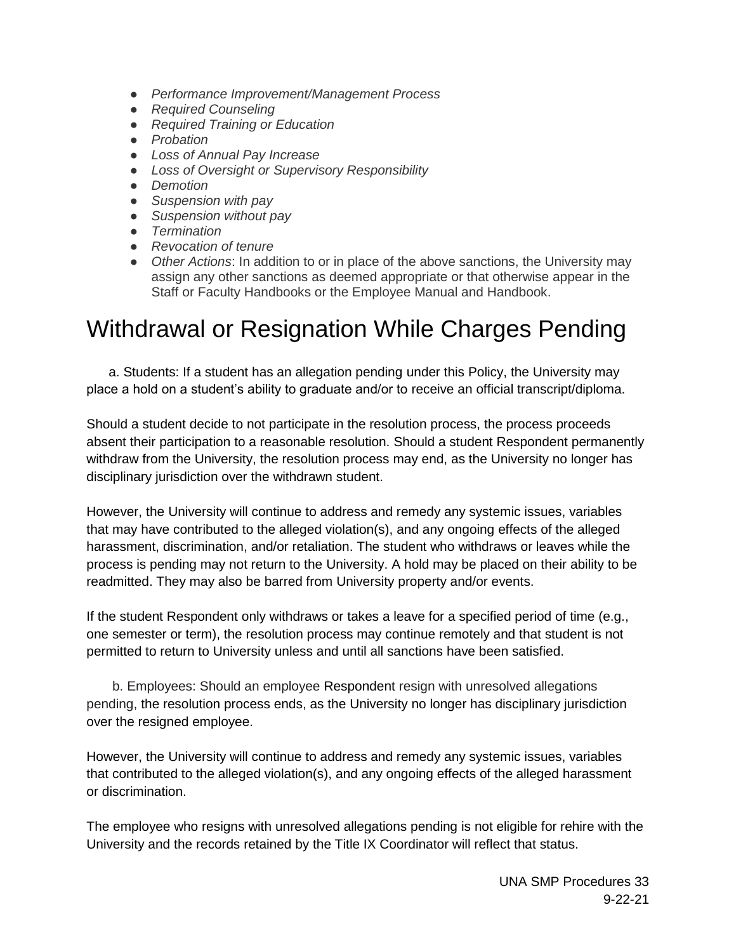- *Performance Improvement/Management Process*
- *Required Counseling*
- *Required Training or Education*
- *Probation*
- *Loss of Annual Pay Increase*
- *Loss of Oversight or Supervisory Responsibility*
- *Demotion*
- *Suspension with pay*
- *Suspension without pay*
- *Termination*
- *Revocation of tenure*
- *Other Actions*: In addition to or in place of the above sanctions, the University may assign any other sanctions as deemed appropriate or that otherwise appear in the Staff or Faculty Handbooks or the Employee Manual and Handbook.

### <span id="page-32-0"></span>Withdrawal or Resignation While Charges Pending

 a. Students: If a student has an allegation pending under this Policy, the University may place a hold on a student's ability to graduate and/or to receive an official transcript/diploma.

Should a student decide to not participate in the resolution process, the process proceeds absent their participation to a reasonable resolution. Should a student Respondent permanently withdraw from the University, the resolution process may end, as the University no longer has disciplinary jurisdiction over the withdrawn student.

However, the University will continue to address and remedy any systemic issues, variables that may have contributed to the alleged violation(s), and any ongoing effects of the alleged harassment, discrimination, and/or retaliation. The student who withdraws or leaves while the process is pending may not return to the University. A hold may be placed on their ability to be readmitted. They may also be barred from University property and/or events.

If the student Respondent only withdraws or takes a leave for a specified period of time (e.g., one semester or term), the resolution process may continue remotely and that student is not permitted to return to University unless and until all sanctions have been satisfied.

 b. Employees: Should an employee Respondent resign with unresolved allegations pending, the resolution process ends, as the University no longer has disciplinary jurisdiction over the resigned employee.

However, the University will continue to address and remedy any systemic issues, variables that contributed to the alleged violation(s), and any ongoing effects of the alleged harassment or discrimination.

The employee who resigns with unresolved allegations pending is not eligible for rehire with the University and the records retained by the Title IX Coordinator will reflect that status.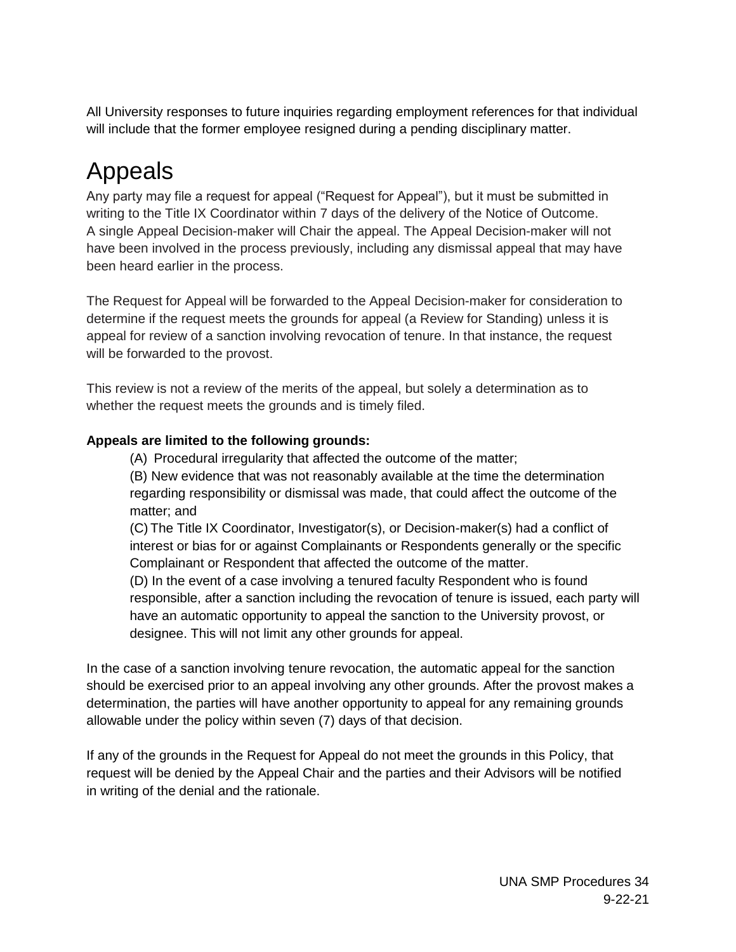All University responses to future inquiries regarding employment references for that individual will include that the former employee resigned during a pending disciplinary matter.

## <span id="page-33-0"></span>Appeals

Any party may file a request for appeal ("Request for Appeal"), but it must be submitted in writing to the Title IX Coordinator within 7 days of the delivery of the Notice of Outcome. A single Appeal Decision-maker will Chair the appeal. The Appeal Decision-maker will not have been involved in the process previously, including any dismissal appeal that may have been heard earlier in the process.

The Request for Appeal will be forwarded to the Appeal Decision-maker for consideration to determine if the request meets the grounds for appeal (a Review for Standing) unless it is appeal for review of a sanction involving revocation of tenure. In that instance, the request will be forwarded to the provost.

This review is not a review of the merits of the appeal, but solely a determination as to whether the request meets the grounds and is timely filed.

#### **Appeals are limited to the following grounds:**

(A) Procedural irregularity that affected the outcome of the matter;

(B) New evidence that was not reasonably available at the time the determination regarding responsibility or dismissal was made, that could affect the outcome of the matter; and

(C) The Title IX Coordinator, Investigator(s), or Decision-maker(s) had a conflict of interest or bias for or against Complainants or Respondents generally or the specific Complainant or Respondent that affected the outcome of the matter.

(D) In the event of a case involving a tenured faculty Respondent who is found responsible, after a sanction including the revocation of tenure is issued, each party will have an automatic opportunity to appeal the sanction to the University provost, or designee. This will not limit any other grounds for appeal.

In the case of a sanction involving tenure revocation, the automatic appeal for the sanction should be exercised prior to an appeal involving any other grounds. After the provost makes a determination, the parties will have another opportunity to appeal for any remaining grounds allowable under the policy within seven (7) days of that decision.

If any of the grounds in the Request for Appeal do not meet the grounds in this Policy, that request will be denied by the Appeal Chair and the parties and their Advisors will be notified in writing of the denial and the rationale.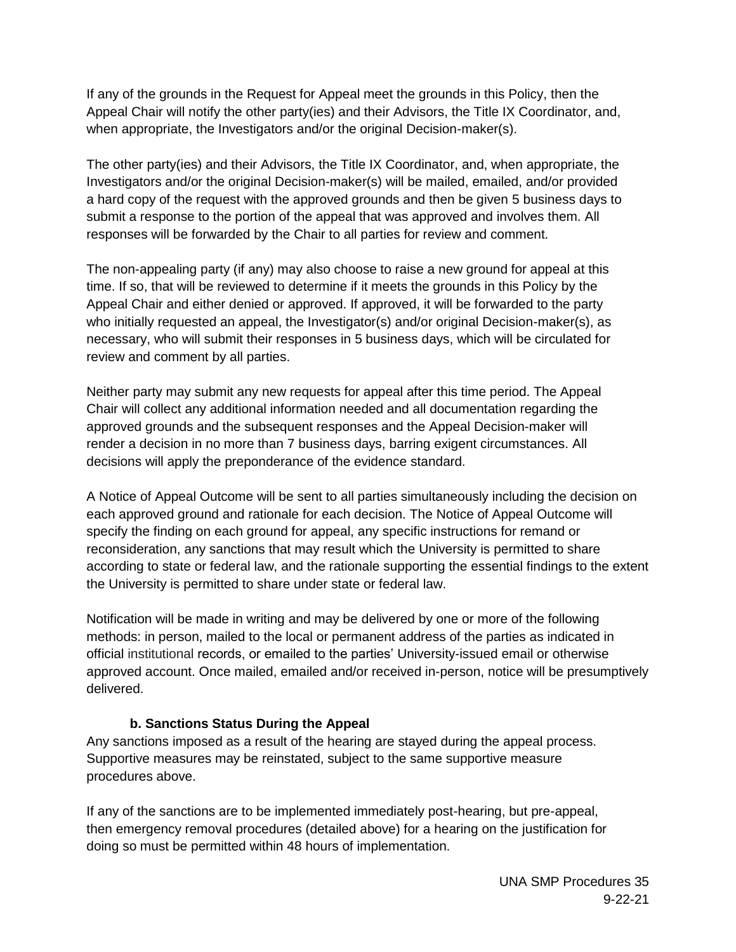If any of the grounds in the Request for Appeal meet the grounds in this Policy, then the Appeal Chair will notify the other party(ies) and their Advisors, the Title IX Coordinator, and, when appropriate, the Investigators and/or the original Decision-maker(s).

The other party(ies) and their Advisors, the Title IX Coordinator, and, when appropriate, the Investigators and/or the original Decision-maker(s) will be mailed, emailed, and/or provided a hard copy of the request with the approved grounds and then be given 5 business days to submit a response to the portion of the appeal that was approved and involves them. All responses will be forwarded by the Chair to all parties for review and comment.

The non-appealing party (if any) may also choose to raise a new ground for appeal at this time. If so, that will be reviewed to determine if it meets the grounds in this Policy by the Appeal Chair and either denied or approved. If approved, it will be forwarded to the party who initially requested an appeal, the Investigator(s) and/or original Decision-maker(s), as necessary, who will submit their responses in 5 business days, which will be circulated for review and comment by all parties.

Neither party may submit any new requests for appeal after this time period. The Appeal Chair will collect any additional information needed and all documentation regarding the approved grounds and the subsequent responses and the Appeal Decision-maker will render a decision in no more than 7 business days, barring exigent circumstances. All decisions will apply the preponderance of the evidence standard.

A Notice of Appeal Outcome will be sent to all parties simultaneously including the decision on each approved ground and rationale for each decision. The Notice of Appeal Outcome will specify the finding on each ground for appeal, any specific instructions for remand or reconsideration, any sanctions that may result which the University is permitted to share according to state or federal law, and the rationale supporting the essential findings to the extent the University is permitted to share under state or federal law.

Notification will be made in writing and may be delivered by one or more of the following methods: in person, mailed to the local or permanent address of the parties as indicated in official institutional records, or emailed to the parties' University-issued email or otherwise approved account. Once mailed, emailed and/or received in-person, notice will be presumptively delivered.

#### **b. Sanctions Status During the Appeal**

Any sanctions imposed as a result of the hearing are stayed during the appeal process. Supportive measures may be reinstated, subject to the same supportive measure procedures above.

If any of the sanctions are to be implemented immediately post-hearing, but pre-appeal, then emergency removal procedures (detailed above) for a hearing on the justification for doing so must be permitted within 48 hours of implementation.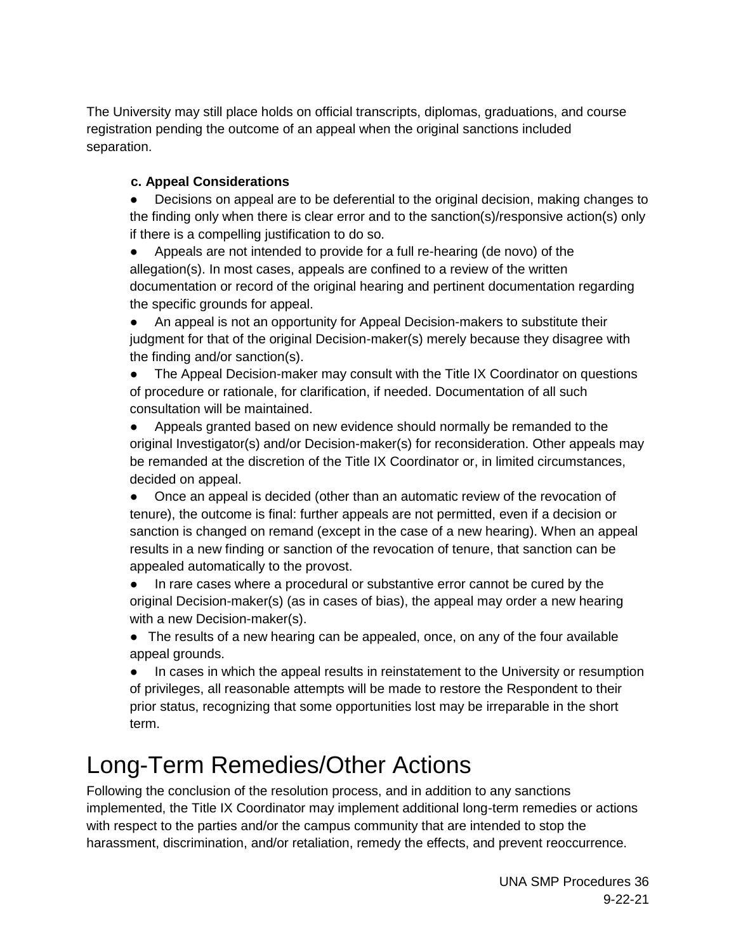The University may still place holds on official transcripts, diplomas, graduations, and course registration pending the outcome of an appeal when the original sanctions included separation.

#### **c. Appeal Considerations**

• Decisions on appeal are to be deferential to the original decision, making changes to the finding only when there is clear error and to the sanction(s)/responsive action(s) only if there is a compelling justification to do so.

● Appeals are not intended to provide for a full re-hearing (de novo) of the allegation(s). In most cases, appeals are confined to a review of the written documentation or record of the original hearing and pertinent documentation regarding the specific grounds for appeal.

● An appeal is not an opportunity for Appeal Decision-makers to substitute their judgment for that of the original Decision-maker(s) merely because they disagree with the finding and/or sanction(s).

• The Appeal Decision-maker may consult with the Title IX Coordinator on questions of procedure or rationale, for clarification, if needed. Documentation of all such consultation will be maintained.

● Appeals granted based on new evidence should normally be remanded to the original Investigator(s) and/or Decision-maker(s) for reconsideration. Other appeals may be remanded at the discretion of the Title IX Coordinator or, in limited circumstances, decided on appeal.

• Once an appeal is decided (other than an automatic review of the revocation of tenure), the outcome is final: further appeals are not permitted, even if a decision or sanction is changed on remand (except in the case of a new hearing). When an appeal results in a new finding or sanction of the revocation of tenure, that sanction can be appealed automatically to the provost.

● In rare cases where a procedural or substantive error cannot be cured by the original Decision-maker(s) (as in cases of bias), the appeal may order a new hearing with a new Decision-maker(s).

• The results of a new hearing can be appealed, once, on any of the four available appeal grounds.

• In cases in which the appeal results in reinstatement to the University or resumption of privileges, all reasonable attempts will be made to restore the Respondent to their prior status, recognizing that some opportunities lost may be irreparable in the short term.

### <span id="page-35-0"></span>Long-Term Remedies/Other Actions

Following the conclusion of the resolution process, and in addition to any sanctions implemented, the Title IX Coordinator may implement additional long-term remedies or actions with respect to the parties and/or the campus community that are intended to stop the harassment, discrimination, and/or retaliation, remedy the effects, and prevent reoccurrence.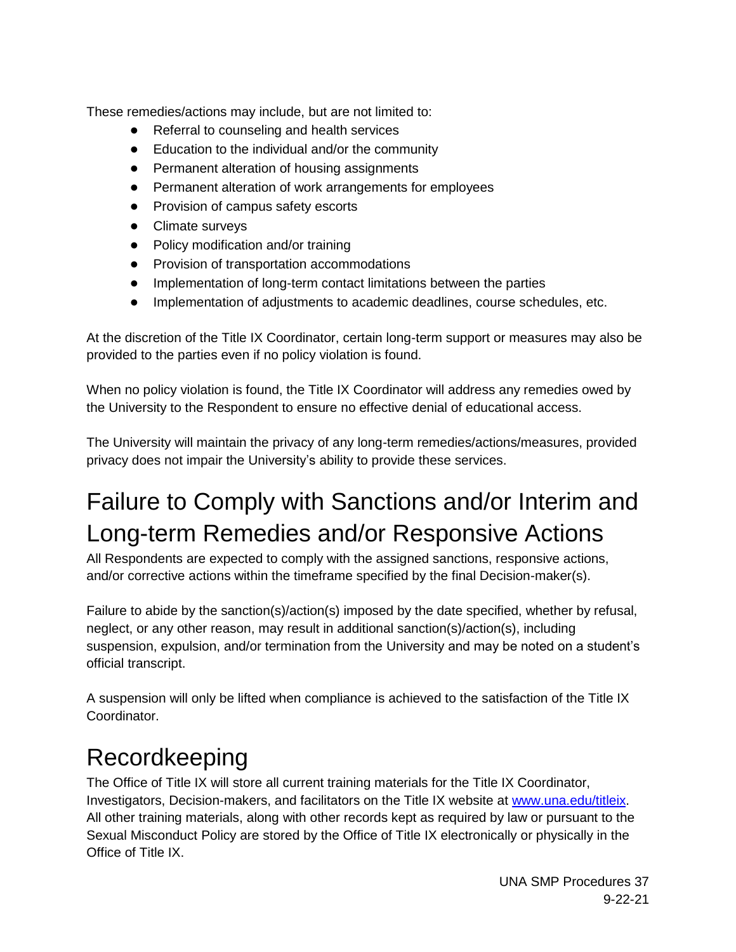These remedies/actions may include, but are not limited to:

- Referral to counseling and health services
- Education to the individual and/or the community
- Permanent alteration of housing assignments
- Permanent alteration of work arrangements for employees
- Provision of campus safety escorts
- Climate surveys
- Policy modification and/or training
- Provision of transportation accommodations
- Implementation of long-term contact limitations between the parties
- Implementation of adjustments to academic deadlines, course schedules, etc.

At the discretion of the Title IX Coordinator, certain long-term support or measures may also be provided to the parties even if no policy violation is found.

When no policy violation is found, the Title IX Coordinator will address any remedies owed by the University to the Respondent to ensure no effective denial of educational access.

The University will maintain the privacy of any long-term remedies/actions/measures, provided privacy does not impair the University's ability to provide these services.

## <span id="page-36-0"></span>Failure to Comply with Sanctions and/or Interim and Long-term Remedies and/or Responsive Actions

All Respondents are expected to comply with the assigned sanctions, responsive actions, and/or corrective actions within the timeframe specified by the final Decision-maker(s).

Failure to abide by the sanction(s)/action(s) imposed by the date specified, whether by refusal, neglect, or any other reason, may result in additional sanction(s)/action(s), including suspension, expulsion, and/or termination from the University and may be noted on a student's official transcript.

A suspension will only be lifted when compliance is achieved to the satisfaction of the Title IX Coordinator.

## <span id="page-36-1"></span>Recordkeeping

The Office of Title IX will store all current training materials for the Title IX Coordinator, Investigators, Decision-makers, and facilitators on the Title IX website at [www.una.edu/titleix.](http://www.una.edu/titleix) All other training materials, along with other records kept as required by law or pursuant to the Sexual Misconduct Policy are stored by the Office of Title IX electronically or physically in the Office of Title IX.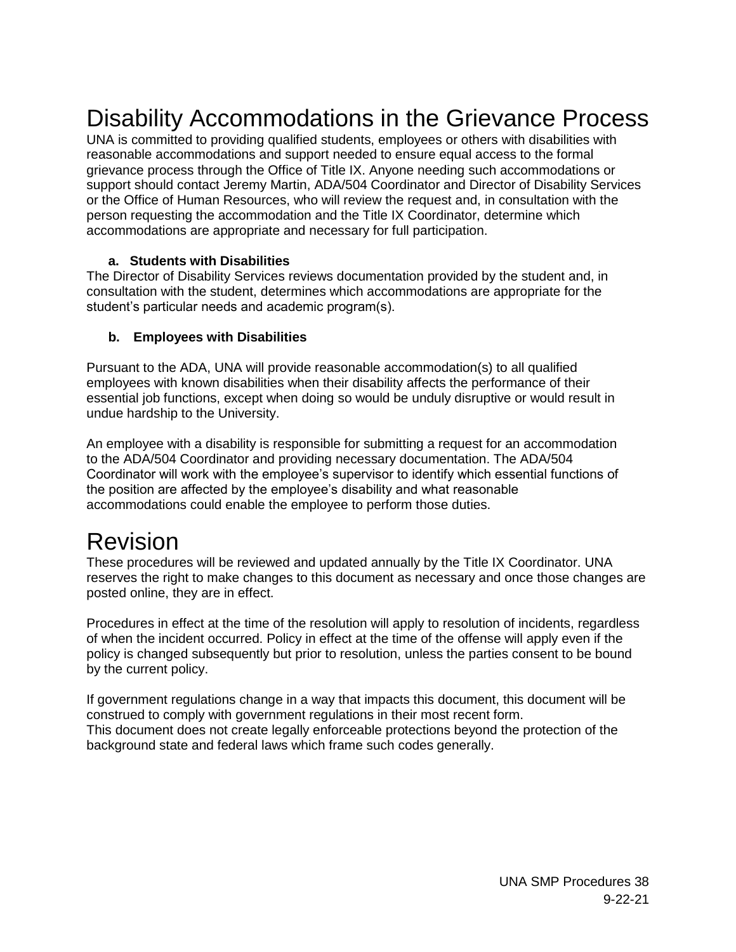### Disability Accommodations in the Grievance Process

UNA is committed to providing qualified students, employees or others with disabilities with reasonable accommodations and support needed to ensure equal access to the formal grievance process through the Office of Title IX. Anyone needing such accommodations or support should contact Jeremy Martin, ADA/504 Coordinator and Director of Disability Services or the Office of Human Resources, who will review the request and, in consultation with the person requesting the accommodation and the Title IX Coordinator, determine which accommodations are appropriate and necessary for full participation.

#### **a. Students with Disabilities**

The Director of Disability Services reviews documentation provided by the student and, in consultation with the student, determines which accommodations are appropriate for the student's particular needs and academic program(s).

#### **b. Employees with Disabilities**

Pursuant to the ADA, UNA will provide reasonable accommodation(s) to all qualified employees with known disabilities when their disability affects the performance of their essential job functions, except when doing so would be unduly disruptive or would result in undue hardship to the University.

An employee with a disability is responsible for submitting a request for an accommodation to the ADA/504 Coordinator and providing necessary documentation. The ADA/504 Coordinator will work with the employee's supervisor to identify which essential functions of the position are affected by the employee's disability and what reasonable accommodations could enable the employee to perform those duties.

### Revision

These procedures will be reviewed and updated annually by the Title IX Coordinator. UNA reserves the right to make changes to this document as necessary and once those changes are posted online, they are in effect.

Procedures in effect at the time of the resolution will apply to resolution of incidents, regardless of when the incident occurred. Policy in effect at the time of the offense will apply even if the policy is changed subsequently but prior to resolution, unless the parties consent to be bound by the current policy.

If government regulations change in a way that impacts this document, this document will be construed to comply with government regulations in their most recent form. This document does not create legally enforceable protections beyond the protection of the background state and federal laws which frame such codes generally.